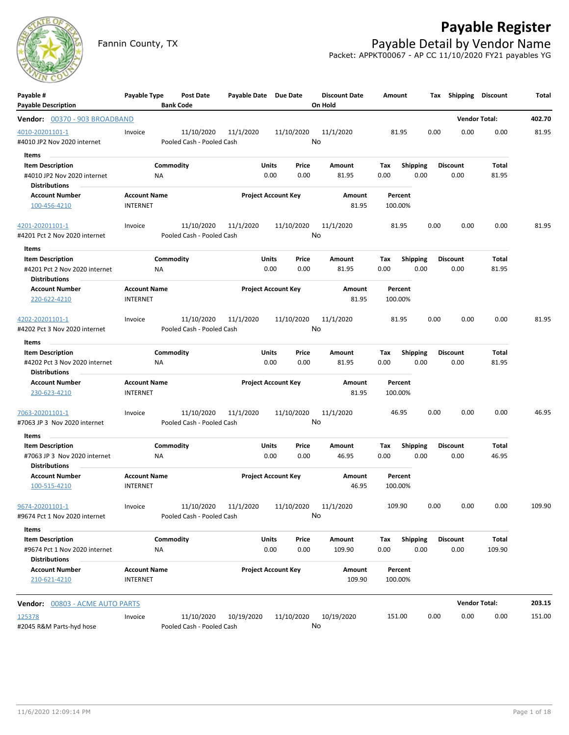

## **Payable Register**

Fannin County, TX **Payable Detail by Vendor Name** Packet: APPKT00067 - AP CC 11/10/2020 FY21 payables YG

| <b>Payable Description</b><br>On Hold<br><b>Bank Code</b><br><b>Vendor Total:</b><br>402.70<br>Vendor: 00370 - 903 BROADBAND<br>0.00<br>4010-20201101-1<br>11/10/2020<br>11/1/2020<br>11/10/2020<br>11/1/2020<br>81.95<br>0.00<br>0.00<br>81.95<br>Invoice<br>No<br>Pooled Cash - Pooled Cash<br>#4010 JP2 Nov 2020 internet<br>Items<br>Commodity<br><b>Units</b><br><b>Shipping</b><br><b>Discount</b><br><b>Item Description</b><br>Price<br>Amount<br>Tax<br>Total<br>0.00<br>#4010 JP2 Nov 2020 internet<br>0.00<br>0.00<br>81.95<br>0.00<br>0.00<br>81.95<br>ΝA<br><b>Distributions</b><br><b>Account Name</b><br><b>Project Account Key</b><br><b>Account Number</b><br>Amount<br>Percent<br><b>INTERNET</b><br>81.95<br>100.00%<br>100-456-4210<br>4201-20201101-1<br>11/10/2020<br>11/1/2020<br>11/10/2020<br>11/1/2020<br>81.95<br>0.00<br>0.00<br>0.00<br>81.95<br>Invoice<br>No<br>#4201 Pct 2 Nov 2020 internet<br>Pooled Cash - Pooled Cash<br>Items<br>Commodity<br><b>Units</b><br>Price<br><b>Shipping</b><br><b>Discount</b><br>Total<br><b>Item Description</b><br>Amount<br>Tax<br>0.00<br>0.00<br>81.95<br>#4201 Pct 2 Nov 2020 internet<br><b>NA</b><br>0.00<br>81.95<br>0.00<br>0.00<br><b>Distributions</b><br><b>Project Account Key</b><br><b>Account Number</b><br><b>Account Name</b><br>Amount<br>Percent<br><b>INTERNET</b><br>81.95<br>100.00%<br>220-622-4210<br>11/10/2020<br>11/1/2020<br>11/10/2020<br>11/1/2020<br>0.00<br>0.00<br>0.00<br>81.95<br>4202-20201101-1<br>Invoice<br>81.95<br>No<br>#4202 Pct 3 Nov 2020 internet<br>Pooled Cash - Pooled Cash<br>Items<br><b>Item Description</b><br>Commodity<br><b>Units</b><br>Price<br>Amount<br>Shipping<br><b>Discount</b><br>Total<br>Tax<br>0.00<br>0.00<br>0.00<br>#4202 Pct 3 Nov 2020 internet<br>0.00<br>81.95<br>0.00<br>81.95<br>ΝA<br><b>Distributions</b><br><b>Account Name</b><br><b>Project Account Key</b><br><b>Account Number</b><br>Amount<br>Percent<br>230-623-4210<br><b>INTERNET</b><br>81.95<br>100.00%<br>11/10/2020<br>11/10/2020<br>11/1/2020<br>11/1/2020<br>46.95<br>0.00<br>0.00<br>0.00<br>46.95<br>7063-20201101-1<br>Invoice<br>No<br>#7063 JP 3 Nov 2020 internet<br>Pooled Cash - Pooled Cash<br>Items<br>Commodity<br>Units<br>Price<br><b>Shipping</b><br>Total<br><b>Item Description</b><br>Amount<br>Tax<br><b>Discount</b><br>0.00<br>46.95<br>0.00<br>0.00<br>46.95<br>0.00<br>0.00<br>#7063 JP 3 Nov 2020 internet<br>ΝA<br><b>Distributions</b><br><b>Account Name</b><br><b>Project Account Key</b><br><b>Account Number</b><br>Amount<br>Percent<br>46.95<br>100-515-4210<br><b>INTERNET</b><br>100.00%<br>109.90<br>0.00<br>0.00<br>0.00<br>109.90<br>11/10/2020<br>11/1/2020<br>11/10/2020<br>11/1/2020<br>9674-20201101-1<br>Invoice<br>No.<br>#9674 Pct 1 Nov 2020 internet<br>Pooled Cash - Pooled Cash<br>Items<br>Commodity<br><b>Item Description</b><br><b>Units</b><br>Shipping<br><b>Discount</b><br>Total<br>Price<br>Amount<br>Тах<br>0.00<br>0.00<br>109.90<br>0.00<br>0.00<br>109.90<br>#9674 Pct 1 Nov 2020 internet<br>NA<br>0.00<br><b>Distributions</b><br><b>Account Number</b><br><b>Account Name</b><br><b>Project Account Key</b><br>Amount<br>Percent<br>109.90<br>210-621-4210<br><b>INTERNET</b><br>100.00%<br><b>Vendor Total:</b><br>203.15<br><b>Vendor: 00803 - ACME AUTO PARTS</b><br>125378<br>11/10/2020<br>10/19/2020<br>11/10/2020<br>10/19/2020<br>0.00<br>0.00<br>0.00<br>151.00<br>Invoice<br>151.00<br>No<br>#2045 R&M Parts-hyd hose<br>Pooled Cash - Pooled Cash | Payable # | Payable Type | <b>Post Date</b> | Payable Date Due Date |  | <b>Discount Date</b> | Amount | Tax | Shipping | <b>Discount</b> | Total |
|-----------------------------------------------------------------------------------------------------------------------------------------------------------------------------------------------------------------------------------------------------------------------------------------------------------------------------------------------------------------------------------------------------------------------------------------------------------------------------------------------------------------------------------------------------------------------------------------------------------------------------------------------------------------------------------------------------------------------------------------------------------------------------------------------------------------------------------------------------------------------------------------------------------------------------------------------------------------------------------------------------------------------------------------------------------------------------------------------------------------------------------------------------------------------------------------------------------------------------------------------------------------------------------------------------------------------------------------------------------------------------------------------------------------------------------------------------------------------------------------------------------------------------------------------------------------------------------------------------------------------------------------------------------------------------------------------------------------------------------------------------------------------------------------------------------------------------------------------------------------------------------------------------------------------------------------------------------------------------------------------------------------------------------------------------------------------------------------------------------------------------------------------------------------------------------------------------------------------------------------------------------------------------------------------------------------------------------------------------------------------------------------------------------------------------------------------------------------------------------------------------------------------------------------------------------------------------------------------------------------------------------------------------------------------------------------------------------------------------------------------------------------------------------------------------------------------------------------------------------------------------------------------------------------------------------------------------------------------------------------------------------------------------------------------------------------------------------------------------------------------------------------------------------------------------------------------------------------------------------------------------------------------------------------------------------------------------------------------------------------------------------------------------------------------------------------------------------------------------------------------------------------------------------------------|-----------|--------------|------------------|-----------------------|--|----------------------|--------|-----|----------|-----------------|-------|
|                                                                                                                                                                                                                                                                                                                                                                                                                                                                                                                                                                                                                                                                                                                                                                                                                                                                                                                                                                                                                                                                                                                                                                                                                                                                                                                                                                                                                                                                                                                                                                                                                                                                                                                                                                                                                                                                                                                                                                                                                                                                                                                                                                                                                                                                                                                                                                                                                                                                                                                                                                                                                                                                                                                                                                                                                                                                                                                                                                                                                                                                                                                                                                                                                                                                                                                                                                                                                                                                                                                                               |           |              |                  |                       |  |                      |        |     |          |                 |       |
|                                                                                                                                                                                                                                                                                                                                                                                                                                                                                                                                                                                                                                                                                                                                                                                                                                                                                                                                                                                                                                                                                                                                                                                                                                                                                                                                                                                                                                                                                                                                                                                                                                                                                                                                                                                                                                                                                                                                                                                                                                                                                                                                                                                                                                                                                                                                                                                                                                                                                                                                                                                                                                                                                                                                                                                                                                                                                                                                                                                                                                                                                                                                                                                                                                                                                                                                                                                                                                                                                                                                               |           |              |                  |                       |  |                      |        |     |          |                 |       |
|                                                                                                                                                                                                                                                                                                                                                                                                                                                                                                                                                                                                                                                                                                                                                                                                                                                                                                                                                                                                                                                                                                                                                                                                                                                                                                                                                                                                                                                                                                                                                                                                                                                                                                                                                                                                                                                                                                                                                                                                                                                                                                                                                                                                                                                                                                                                                                                                                                                                                                                                                                                                                                                                                                                                                                                                                                                                                                                                                                                                                                                                                                                                                                                                                                                                                                                                                                                                                                                                                                                                               |           |              |                  |                       |  |                      |        |     |          |                 |       |
|                                                                                                                                                                                                                                                                                                                                                                                                                                                                                                                                                                                                                                                                                                                                                                                                                                                                                                                                                                                                                                                                                                                                                                                                                                                                                                                                                                                                                                                                                                                                                                                                                                                                                                                                                                                                                                                                                                                                                                                                                                                                                                                                                                                                                                                                                                                                                                                                                                                                                                                                                                                                                                                                                                                                                                                                                                                                                                                                                                                                                                                                                                                                                                                                                                                                                                                                                                                                                                                                                                                                               |           |              |                  |                       |  |                      |        |     |          |                 |       |
|                                                                                                                                                                                                                                                                                                                                                                                                                                                                                                                                                                                                                                                                                                                                                                                                                                                                                                                                                                                                                                                                                                                                                                                                                                                                                                                                                                                                                                                                                                                                                                                                                                                                                                                                                                                                                                                                                                                                                                                                                                                                                                                                                                                                                                                                                                                                                                                                                                                                                                                                                                                                                                                                                                                                                                                                                                                                                                                                                                                                                                                                                                                                                                                                                                                                                                                                                                                                                                                                                                                                               |           |              |                  |                       |  |                      |        |     |          |                 |       |
|                                                                                                                                                                                                                                                                                                                                                                                                                                                                                                                                                                                                                                                                                                                                                                                                                                                                                                                                                                                                                                                                                                                                                                                                                                                                                                                                                                                                                                                                                                                                                                                                                                                                                                                                                                                                                                                                                                                                                                                                                                                                                                                                                                                                                                                                                                                                                                                                                                                                                                                                                                                                                                                                                                                                                                                                                                                                                                                                                                                                                                                                                                                                                                                                                                                                                                                                                                                                                                                                                                                                               |           |              |                  |                       |  |                      |        |     |          |                 |       |
|                                                                                                                                                                                                                                                                                                                                                                                                                                                                                                                                                                                                                                                                                                                                                                                                                                                                                                                                                                                                                                                                                                                                                                                                                                                                                                                                                                                                                                                                                                                                                                                                                                                                                                                                                                                                                                                                                                                                                                                                                                                                                                                                                                                                                                                                                                                                                                                                                                                                                                                                                                                                                                                                                                                                                                                                                                                                                                                                                                                                                                                                                                                                                                                                                                                                                                                                                                                                                                                                                                                                               |           |              |                  |                       |  |                      |        |     |          |                 |       |
|                                                                                                                                                                                                                                                                                                                                                                                                                                                                                                                                                                                                                                                                                                                                                                                                                                                                                                                                                                                                                                                                                                                                                                                                                                                                                                                                                                                                                                                                                                                                                                                                                                                                                                                                                                                                                                                                                                                                                                                                                                                                                                                                                                                                                                                                                                                                                                                                                                                                                                                                                                                                                                                                                                                                                                                                                                                                                                                                                                                                                                                                                                                                                                                                                                                                                                                                                                                                                                                                                                                                               |           |              |                  |                       |  |                      |        |     |          |                 |       |
|                                                                                                                                                                                                                                                                                                                                                                                                                                                                                                                                                                                                                                                                                                                                                                                                                                                                                                                                                                                                                                                                                                                                                                                                                                                                                                                                                                                                                                                                                                                                                                                                                                                                                                                                                                                                                                                                                                                                                                                                                                                                                                                                                                                                                                                                                                                                                                                                                                                                                                                                                                                                                                                                                                                                                                                                                                                                                                                                                                                                                                                                                                                                                                                                                                                                                                                                                                                                                                                                                                                                               |           |              |                  |                       |  |                      |        |     |          |                 |       |
|                                                                                                                                                                                                                                                                                                                                                                                                                                                                                                                                                                                                                                                                                                                                                                                                                                                                                                                                                                                                                                                                                                                                                                                                                                                                                                                                                                                                                                                                                                                                                                                                                                                                                                                                                                                                                                                                                                                                                                                                                                                                                                                                                                                                                                                                                                                                                                                                                                                                                                                                                                                                                                                                                                                                                                                                                                                                                                                                                                                                                                                                                                                                                                                                                                                                                                                                                                                                                                                                                                                                               |           |              |                  |                       |  |                      |        |     |          |                 |       |
|                                                                                                                                                                                                                                                                                                                                                                                                                                                                                                                                                                                                                                                                                                                                                                                                                                                                                                                                                                                                                                                                                                                                                                                                                                                                                                                                                                                                                                                                                                                                                                                                                                                                                                                                                                                                                                                                                                                                                                                                                                                                                                                                                                                                                                                                                                                                                                                                                                                                                                                                                                                                                                                                                                                                                                                                                                                                                                                                                                                                                                                                                                                                                                                                                                                                                                                                                                                                                                                                                                                                               |           |              |                  |                       |  |                      |        |     |          |                 |       |
|                                                                                                                                                                                                                                                                                                                                                                                                                                                                                                                                                                                                                                                                                                                                                                                                                                                                                                                                                                                                                                                                                                                                                                                                                                                                                                                                                                                                                                                                                                                                                                                                                                                                                                                                                                                                                                                                                                                                                                                                                                                                                                                                                                                                                                                                                                                                                                                                                                                                                                                                                                                                                                                                                                                                                                                                                                                                                                                                                                                                                                                                                                                                                                                                                                                                                                                                                                                                                                                                                                                                               |           |              |                  |                       |  |                      |        |     |          |                 |       |
|                                                                                                                                                                                                                                                                                                                                                                                                                                                                                                                                                                                                                                                                                                                                                                                                                                                                                                                                                                                                                                                                                                                                                                                                                                                                                                                                                                                                                                                                                                                                                                                                                                                                                                                                                                                                                                                                                                                                                                                                                                                                                                                                                                                                                                                                                                                                                                                                                                                                                                                                                                                                                                                                                                                                                                                                                                                                                                                                                                                                                                                                                                                                                                                                                                                                                                                                                                                                                                                                                                                                               |           |              |                  |                       |  |                      |        |     |          |                 |       |
|                                                                                                                                                                                                                                                                                                                                                                                                                                                                                                                                                                                                                                                                                                                                                                                                                                                                                                                                                                                                                                                                                                                                                                                                                                                                                                                                                                                                                                                                                                                                                                                                                                                                                                                                                                                                                                                                                                                                                                                                                                                                                                                                                                                                                                                                                                                                                                                                                                                                                                                                                                                                                                                                                                                                                                                                                                                                                                                                                                                                                                                                                                                                                                                                                                                                                                                                                                                                                                                                                                                                               |           |              |                  |                       |  |                      |        |     |          |                 |       |
|                                                                                                                                                                                                                                                                                                                                                                                                                                                                                                                                                                                                                                                                                                                                                                                                                                                                                                                                                                                                                                                                                                                                                                                                                                                                                                                                                                                                                                                                                                                                                                                                                                                                                                                                                                                                                                                                                                                                                                                                                                                                                                                                                                                                                                                                                                                                                                                                                                                                                                                                                                                                                                                                                                                                                                                                                                                                                                                                                                                                                                                                                                                                                                                                                                                                                                                                                                                                                                                                                                                                               |           |              |                  |                       |  |                      |        |     |          |                 |       |
|                                                                                                                                                                                                                                                                                                                                                                                                                                                                                                                                                                                                                                                                                                                                                                                                                                                                                                                                                                                                                                                                                                                                                                                                                                                                                                                                                                                                                                                                                                                                                                                                                                                                                                                                                                                                                                                                                                                                                                                                                                                                                                                                                                                                                                                                                                                                                                                                                                                                                                                                                                                                                                                                                                                                                                                                                                                                                                                                                                                                                                                                                                                                                                                                                                                                                                                                                                                                                                                                                                                                               |           |              |                  |                       |  |                      |        |     |          |                 |       |
|                                                                                                                                                                                                                                                                                                                                                                                                                                                                                                                                                                                                                                                                                                                                                                                                                                                                                                                                                                                                                                                                                                                                                                                                                                                                                                                                                                                                                                                                                                                                                                                                                                                                                                                                                                                                                                                                                                                                                                                                                                                                                                                                                                                                                                                                                                                                                                                                                                                                                                                                                                                                                                                                                                                                                                                                                                                                                                                                                                                                                                                                                                                                                                                                                                                                                                                                                                                                                                                                                                                                               |           |              |                  |                       |  |                      |        |     |          |                 |       |
|                                                                                                                                                                                                                                                                                                                                                                                                                                                                                                                                                                                                                                                                                                                                                                                                                                                                                                                                                                                                                                                                                                                                                                                                                                                                                                                                                                                                                                                                                                                                                                                                                                                                                                                                                                                                                                                                                                                                                                                                                                                                                                                                                                                                                                                                                                                                                                                                                                                                                                                                                                                                                                                                                                                                                                                                                                                                                                                                                                                                                                                                                                                                                                                                                                                                                                                                                                                                                                                                                                                                               |           |              |                  |                       |  |                      |        |     |          |                 |       |
|                                                                                                                                                                                                                                                                                                                                                                                                                                                                                                                                                                                                                                                                                                                                                                                                                                                                                                                                                                                                                                                                                                                                                                                                                                                                                                                                                                                                                                                                                                                                                                                                                                                                                                                                                                                                                                                                                                                                                                                                                                                                                                                                                                                                                                                                                                                                                                                                                                                                                                                                                                                                                                                                                                                                                                                                                                                                                                                                                                                                                                                                                                                                                                                                                                                                                                                                                                                                                                                                                                                                               |           |              |                  |                       |  |                      |        |     |          |                 |       |
|                                                                                                                                                                                                                                                                                                                                                                                                                                                                                                                                                                                                                                                                                                                                                                                                                                                                                                                                                                                                                                                                                                                                                                                                                                                                                                                                                                                                                                                                                                                                                                                                                                                                                                                                                                                                                                                                                                                                                                                                                                                                                                                                                                                                                                                                                                                                                                                                                                                                                                                                                                                                                                                                                                                                                                                                                                                                                                                                                                                                                                                                                                                                                                                                                                                                                                                                                                                                                                                                                                                                               |           |              |                  |                       |  |                      |        |     |          |                 |       |
|                                                                                                                                                                                                                                                                                                                                                                                                                                                                                                                                                                                                                                                                                                                                                                                                                                                                                                                                                                                                                                                                                                                                                                                                                                                                                                                                                                                                                                                                                                                                                                                                                                                                                                                                                                                                                                                                                                                                                                                                                                                                                                                                                                                                                                                                                                                                                                                                                                                                                                                                                                                                                                                                                                                                                                                                                                                                                                                                                                                                                                                                                                                                                                                                                                                                                                                                                                                                                                                                                                                                               |           |              |                  |                       |  |                      |        |     |          |                 |       |
|                                                                                                                                                                                                                                                                                                                                                                                                                                                                                                                                                                                                                                                                                                                                                                                                                                                                                                                                                                                                                                                                                                                                                                                                                                                                                                                                                                                                                                                                                                                                                                                                                                                                                                                                                                                                                                                                                                                                                                                                                                                                                                                                                                                                                                                                                                                                                                                                                                                                                                                                                                                                                                                                                                                                                                                                                                                                                                                                                                                                                                                                                                                                                                                                                                                                                                                                                                                                                                                                                                                                               |           |              |                  |                       |  |                      |        |     |          |                 |       |
|                                                                                                                                                                                                                                                                                                                                                                                                                                                                                                                                                                                                                                                                                                                                                                                                                                                                                                                                                                                                                                                                                                                                                                                                                                                                                                                                                                                                                                                                                                                                                                                                                                                                                                                                                                                                                                                                                                                                                                                                                                                                                                                                                                                                                                                                                                                                                                                                                                                                                                                                                                                                                                                                                                                                                                                                                                                                                                                                                                                                                                                                                                                                                                                                                                                                                                                                                                                                                                                                                                                                               |           |              |                  |                       |  |                      |        |     |          |                 |       |
|                                                                                                                                                                                                                                                                                                                                                                                                                                                                                                                                                                                                                                                                                                                                                                                                                                                                                                                                                                                                                                                                                                                                                                                                                                                                                                                                                                                                                                                                                                                                                                                                                                                                                                                                                                                                                                                                                                                                                                                                                                                                                                                                                                                                                                                                                                                                                                                                                                                                                                                                                                                                                                                                                                                                                                                                                                                                                                                                                                                                                                                                                                                                                                                                                                                                                                                                                                                                                                                                                                                                               |           |              |                  |                       |  |                      |        |     |          |                 |       |
|                                                                                                                                                                                                                                                                                                                                                                                                                                                                                                                                                                                                                                                                                                                                                                                                                                                                                                                                                                                                                                                                                                                                                                                                                                                                                                                                                                                                                                                                                                                                                                                                                                                                                                                                                                                                                                                                                                                                                                                                                                                                                                                                                                                                                                                                                                                                                                                                                                                                                                                                                                                                                                                                                                                                                                                                                                                                                                                                                                                                                                                                                                                                                                                                                                                                                                                                                                                                                                                                                                                                               |           |              |                  |                       |  |                      |        |     |          |                 |       |
|                                                                                                                                                                                                                                                                                                                                                                                                                                                                                                                                                                                                                                                                                                                                                                                                                                                                                                                                                                                                                                                                                                                                                                                                                                                                                                                                                                                                                                                                                                                                                                                                                                                                                                                                                                                                                                                                                                                                                                                                                                                                                                                                                                                                                                                                                                                                                                                                                                                                                                                                                                                                                                                                                                                                                                                                                                                                                                                                                                                                                                                                                                                                                                                                                                                                                                                                                                                                                                                                                                                                               |           |              |                  |                       |  |                      |        |     |          |                 |       |
|                                                                                                                                                                                                                                                                                                                                                                                                                                                                                                                                                                                                                                                                                                                                                                                                                                                                                                                                                                                                                                                                                                                                                                                                                                                                                                                                                                                                                                                                                                                                                                                                                                                                                                                                                                                                                                                                                                                                                                                                                                                                                                                                                                                                                                                                                                                                                                                                                                                                                                                                                                                                                                                                                                                                                                                                                                                                                                                                                                                                                                                                                                                                                                                                                                                                                                                                                                                                                                                                                                                                               |           |              |                  |                       |  |                      |        |     |          |                 |       |
|                                                                                                                                                                                                                                                                                                                                                                                                                                                                                                                                                                                                                                                                                                                                                                                                                                                                                                                                                                                                                                                                                                                                                                                                                                                                                                                                                                                                                                                                                                                                                                                                                                                                                                                                                                                                                                                                                                                                                                                                                                                                                                                                                                                                                                                                                                                                                                                                                                                                                                                                                                                                                                                                                                                                                                                                                                                                                                                                                                                                                                                                                                                                                                                                                                                                                                                                                                                                                                                                                                                                               |           |              |                  |                       |  |                      |        |     |          |                 |       |
|                                                                                                                                                                                                                                                                                                                                                                                                                                                                                                                                                                                                                                                                                                                                                                                                                                                                                                                                                                                                                                                                                                                                                                                                                                                                                                                                                                                                                                                                                                                                                                                                                                                                                                                                                                                                                                                                                                                                                                                                                                                                                                                                                                                                                                                                                                                                                                                                                                                                                                                                                                                                                                                                                                                                                                                                                                                                                                                                                                                                                                                                                                                                                                                                                                                                                                                                                                                                                                                                                                                                               |           |              |                  |                       |  |                      |        |     |          |                 |       |
|                                                                                                                                                                                                                                                                                                                                                                                                                                                                                                                                                                                                                                                                                                                                                                                                                                                                                                                                                                                                                                                                                                                                                                                                                                                                                                                                                                                                                                                                                                                                                                                                                                                                                                                                                                                                                                                                                                                                                                                                                                                                                                                                                                                                                                                                                                                                                                                                                                                                                                                                                                                                                                                                                                                                                                                                                                                                                                                                                                                                                                                                                                                                                                                                                                                                                                                                                                                                                                                                                                                                               |           |              |                  |                       |  |                      |        |     |          |                 |       |
|                                                                                                                                                                                                                                                                                                                                                                                                                                                                                                                                                                                                                                                                                                                                                                                                                                                                                                                                                                                                                                                                                                                                                                                                                                                                                                                                                                                                                                                                                                                                                                                                                                                                                                                                                                                                                                                                                                                                                                                                                                                                                                                                                                                                                                                                                                                                                                                                                                                                                                                                                                                                                                                                                                                                                                                                                                                                                                                                                                                                                                                                                                                                                                                                                                                                                                                                                                                                                                                                                                                                               |           |              |                  |                       |  |                      |        |     |          |                 |       |
|                                                                                                                                                                                                                                                                                                                                                                                                                                                                                                                                                                                                                                                                                                                                                                                                                                                                                                                                                                                                                                                                                                                                                                                                                                                                                                                                                                                                                                                                                                                                                                                                                                                                                                                                                                                                                                                                                                                                                                                                                                                                                                                                                                                                                                                                                                                                                                                                                                                                                                                                                                                                                                                                                                                                                                                                                                                                                                                                                                                                                                                                                                                                                                                                                                                                                                                                                                                                                                                                                                                                               |           |              |                  |                       |  |                      |        |     |          |                 |       |
|                                                                                                                                                                                                                                                                                                                                                                                                                                                                                                                                                                                                                                                                                                                                                                                                                                                                                                                                                                                                                                                                                                                                                                                                                                                                                                                                                                                                                                                                                                                                                                                                                                                                                                                                                                                                                                                                                                                                                                                                                                                                                                                                                                                                                                                                                                                                                                                                                                                                                                                                                                                                                                                                                                                                                                                                                                                                                                                                                                                                                                                                                                                                                                                                                                                                                                                                                                                                                                                                                                                                               |           |              |                  |                       |  |                      |        |     |          |                 |       |
|                                                                                                                                                                                                                                                                                                                                                                                                                                                                                                                                                                                                                                                                                                                                                                                                                                                                                                                                                                                                                                                                                                                                                                                                                                                                                                                                                                                                                                                                                                                                                                                                                                                                                                                                                                                                                                                                                                                                                                                                                                                                                                                                                                                                                                                                                                                                                                                                                                                                                                                                                                                                                                                                                                                                                                                                                                                                                                                                                                                                                                                                                                                                                                                                                                                                                                                                                                                                                                                                                                                                               |           |              |                  |                       |  |                      |        |     |          |                 |       |
|                                                                                                                                                                                                                                                                                                                                                                                                                                                                                                                                                                                                                                                                                                                                                                                                                                                                                                                                                                                                                                                                                                                                                                                                                                                                                                                                                                                                                                                                                                                                                                                                                                                                                                                                                                                                                                                                                                                                                                                                                                                                                                                                                                                                                                                                                                                                                                                                                                                                                                                                                                                                                                                                                                                                                                                                                                                                                                                                                                                                                                                                                                                                                                                                                                                                                                                                                                                                                                                                                                                                               |           |              |                  |                       |  |                      |        |     |          |                 |       |
|                                                                                                                                                                                                                                                                                                                                                                                                                                                                                                                                                                                                                                                                                                                                                                                                                                                                                                                                                                                                                                                                                                                                                                                                                                                                                                                                                                                                                                                                                                                                                                                                                                                                                                                                                                                                                                                                                                                                                                                                                                                                                                                                                                                                                                                                                                                                                                                                                                                                                                                                                                                                                                                                                                                                                                                                                                                                                                                                                                                                                                                                                                                                                                                                                                                                                                                                                                                                                                                                                                                                               |           |              |                  |                       |  |                      |        |     |          |                 |       |
|                                                                                                                                                                                                                                                                                                                                                                                                                                                                                                                                                                                                                                                                                                                                                                                                                                                                                                                                                                                                                                                                                                                                                                                                                                                                                                                                                                                                                                                                                                                                                                                                                                                                                                                                                                                                                                                                                                                                                                                                                                                                                                                                                                                                                                                                                                                                                                                                                                                                                                                                                                                                                                                                                                                                                                                                                                                                                                                                                                                                                                                                                                                                                                                                                                                                                                                                                                                                                                                                                                                                               |           |              |                  |                       |  |                      |        |     |          |                 |       |
|                                                                                                                                                                                                                                                                                                                                                                                                                                                                                                                                                                                                                                                                                                                                                                                                                                                                                                                                                                                                                                                                                                                                                                                                                                                                                                                                                                                                                                                                                                                                                                                                                                                                                                                                                                                                                                                                                                                                                                                                                                                                                                                                                                                                                                                                                                                                                                                                                                                                                                                                                                                                                                                                                                                                                                                                                                                                                                                                                                                                                                                                                                                                                                                                                                                                                                                                                                                                                                                                                                                                               |           |              |                  |                       |  |                      |        |     |          |                 |       |
|                                                                                                                                                                                                                                                                                                                                                                                                                                                                                                                                                                                                                                                                                                                                                                                                                                                                                                                                                                                                                                                                                                                                                                                                                                                                                                                                                                                                                                                                                                                                                                                                                                                                                                                                                                                                                                                                                                                                                                                                                                                                                                                                                                                                                                                                                                                                                                                                                                                                                                                                                                                                                                                                                                                                                                                                                                                                                                                                                                                                                                                                                                                                                                                                                                                                                                                                                                                                                                                                                                                                               |           |              |                  |                       |  |                      |        |     |          |                 |       |
|                                                                                                                                                                                                                                                                                                                                                                                                                                                                                                                                                                                                                                                                                                                                                                                                                                                                                                                                                                                                                                                                                                                                                                                                                                                                                                                                                                                                                                                                                                                                                                                                                                                                                                                                                                                                                                                                                                                                                                                                                                                                                                                                                                                                                                                                                                                                                                                                                                                                                                                                                                                                                                                                                                                                                                                                                                                                                                                                                                                                                                                                                                                                                                                                                                                                                                                                                                                                                                                                                                                                               |           |              |                  |                       |  |                      |        |     |          |                 |       |
|                                                                                                                                                                                                                                                                                                                                                                                                                                                                                                                                                                                                                                                                                                                                                                                                                                                                                                                                                                                                                                                                                                                                                                                                                                                                                                                                                                                                                                                                                                                                                                                                                                                                                                                                                                                                                                                                                                                                                                                                                                                                                                                                                                                                                                                                                                                                                                                                                                                                                                                                                                                                                                                                                                                                                                                                                                                                                                                                                                                                                                                                                                                                                                                                                                                                                                                                                                                                                                                                                                                                               |           |              |                  |                       |  |                      |        |     |          |                 |       |
|                                                                                                                                                                                                                                                                                                                                                                                                                                                                                                                                                                                                                                                                                                                                                                                                                                                                                                                                                                                                                                                                                                                                                                                                                                                                                                                                                                                                                                                                                                                                                                                                                                                                                                                                                                                                                                                                                                                                                                                                                                                                                                                                                                                                                                                                                                                                                                                                                                                                                                                                                                                                                                                                                                                                                                                                                                                                                                                                                                                                                                                                                                                                                                                                                                                                                                                                                                                                                                                                                                                                               |           |              |                  |                       |  |                      |        |     |          |                 |       |
|                                                                                                                                                                                                                                                                                                                                                                                                                                                                                                                                                                                                                                                                                                                                                                                                                                                                                                                                                                                                                                                                                                                                                                                                                                                                                                                                                                                                                                                                                                                                                                                                                                                                                                                                                                                                                                                                                                                                                                                                                                                                                                                                                                                                                                                                                                                                                                                                                                                                                                                                                                                                                                                                                                                                                                                                                                                                                                                                                                                                                                                                                                                                                                                                                                                                                                                                                                                                                                                                                                                                               |           |              |                  |                       |  |                      |        |     |          |                 |       |
|                                                                                                                                                                                                                                                                                                                                                                                                                                                                                                                                                                                                                                                                                                                                                                                                                                                                                                                                                                                                                                                                                                                                                                                                                                                                                                                                                                                                                                                                                                                                                                                                                                                                                                                                                                                                                                                                                                                                                                                                                                                                                                                                                                                                                                                                                                                                                                                                                                                                                                                                                                                                                                                                                                                                                                                                                                                                                                                                                                                                                                                                                                                                                                                                                                                                                                                                                                                                                                                                                                                                               |           |              |                  |                       |  |                      |        |     |          |                 |       |
|                                                                                                                                                                                                                                                                                                                                                                                                                                                                                                                                                                                                                                                                                                                                                                                                                                                                                                                                                                                                                                                                                                                                                                                                                                                                                                                                                                                                                                                                                                                                                                                                                                                                                                                                                                                                                                                                                                                                                                                                                                                                                                                                                                                                                                                                                                                                                                                                                                                                                                                                                                                                                                                                                                                                                                                                                                                                                                                                                                                                                                                                                                                                                                                                                                                                                                                                                                                                                                                                                                                                               |           |              |                  |                       |  |                      |        |     |          |                 |       |
|                                                                                                                                                                                                                                                                                                                                                                                                                                                                                                                                                                                                                                                                                                                                                                                                                                                                                                                                                                                                                                                                                                                                                                                                                                                                                                                                                                                                                                                                                                                                                                                                                                                                                                                                                                                                                                                                                                                                                                                                                                                                                                                                                                                                                                                                                                                                                                                                                                                                                                                                                                                                                                                                                                                                                                                                                                                                                                                                                                                                                                                                                                                                                                                                                                                                                                                                                                                                                                                                                                                                               |           |              |                  |                       |  |                      |        |     |          |                 |       |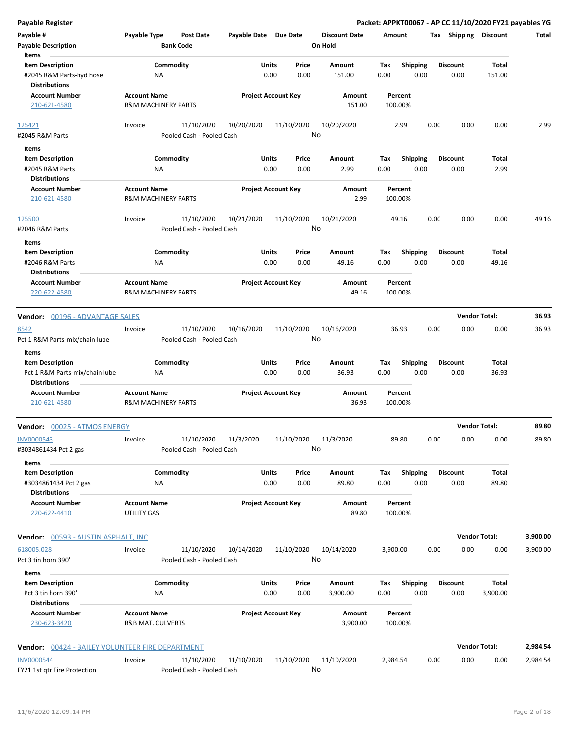| <b>Payable Register</b>                                                                    |                                                       |                                         |                       |                            |               |                                 |             |                         |      |                         | Packet: APPKT00067 - AP CC 11/10/2020 FY21 payables YG |          |
|--------------------------------------------------------------------------------------------|-------------------------------------------------------|-----------------------------------------|-----------------------|----------------------------|---------------|---------------------------------|-------------|-------------------------|------|-------------------------|--------------------------------------------------------|----------|
| Payable #<br><b>Payable Description</b>                                                    | Payable Type                                          | <b>Post Date</b><br><b>Bank Code</b>    | Payable Date Due Date |                            |               | <b>Discount Date</b><br>On Hold | Amount      |                         |      | Tax Shipping Discount   |                                                        | Total    |
| Items<br><b>Item Description</b><br>#2045 R&M Parts-hyd hose                               | Commodity<br>NA                                       |                                         |                       | Units<br>0.00              | Price<br>0.00 | Amount<br>151.00                | Tax<br>0.00 | <b>Shipping</b><br>0.00 |      | <b>Discount</b><br>0.00 | Total<br>151.00                                        |          |
| <b>Distributions</b><br><b>Account Number</b><br>210-621-4580                              | <b>Account Name</b><br><b>R&amp;M MACHINERY PARTS</b> |                                         |                       | <b>Project Account Key</b> |               | Amount<br>151.00                |             | Percent<br>100.00%      |      |                         |                                                        |          |
| 125421                                                                                     | Invoice                                               | 11/10/2020                              | 10/20/2020            | 11/10/2020                 |               | 10/20/2020                      |             | 2.99                    | 0.00 | 0.00                    | 0.00                                                   | 2.99     |
| #2045 R&M Parts<br>Items                                                                   |                                                       | Pooled Cash - Pooled Cash               |                       |                            | No            |                                 |             |                         |      |                         |                                                        |          |
| <b>Item Description</b><br>#2045 R&M Parts<br><b>Distributions</b>                         | Commodity<br>ΝA                                       |                                         |                       | Units<br>0.00              | Price<br>0.00 | Amount<br>2.99                  | Tax<br>0.00 | <b>Shipping</b><br>0.00 |      | <b>Discount</b><br>0.00 | Total<br>2.99                                          |          |
| <b>Account Number</b><br>210-621-4580                                                      | <b>Account Name</b><br><b>R&amp;M MACHINERY PARTS</b> |                                         |                       | <b>Project Account Key</b> |               | Amount<br>2.99                  |             | Percent<br>100.00%      |      |                         |                                                        |          |
| 125500<br>#2046 R&M Parts                                                                  | Invoice                                               | 11/10/2020<br>Pooled Cash - Pooled Cash | 10/21/2020            | 11/10/2020                 | No            | 10/21/2020                      |             | 49.16                   | 0.00 | 0.00                    | 0.00                                                   | 49.16    |
| Items<br><b>Item Description</b><br>#2046 R&M Parts<br><b>Distributions</b>                | Commodity<br>ΝA                                       |                                         |                       | Units<br>0.00              | Price<br>0.00 | Amount<br>49.16                 | Tax<br>0.00 | <b>Shipping</b><br>0.00 |      | <b>Discount</b><br>0.00 | Total<br>49.16                                         |          |
| <b>Account Number</b><br>220-622-4580                                                      | <b>Account Name</b><br><b>R&amp;M MACHINERY PARTS</b> |                                         |                       | <b>Project Account Key</b> |               | Amount<br>49.16                 |             | Percent<br>100.00%      |      |                         |                                                        |          |
| Vendor: 00196 - ADVANTAGE SALES                                                            |                                                       |                                         |                       |                            |               |                                 |             |                         |      |                         | <b>Vendor Total:</b>                                   | 36.93    |
| 8542<br>Pct 1 R&M Parts-mix/chain lube                                                     | Invoice                                               | 11/10/2020<br>Pooled Cash - Pooled Cash | 10/16/2020            | 11/10/2020                 | No            | 10/16/2020                      |             | 36.93                   | 0.00 | 0.00                    | 0.00                                                   | 36.93    |
| Items<br><b>Item Description</b><br>Pct 1 R&M Parts-mix/chain lube<br><b>Distributions</b> | Commodity<br>NA                                       |                                         |                       | Units<br>0.00              | Price<br>0.00 | Amount<br>36.93                 | Tax<br>0.00 | <b>Shipping</b><br>0.00 |      | <b>Discount</b><br>0.00 | Total<br>36.93                                         |          |
| <b>Account Number</b><br>210-621-4580                                                      | <b>Account Name</b><br><b>R&amp;M MACHINERY PARTS</b> |                                         |                       | <b>Project Account Key</b> |               | Amount<br>36.93                 |             | Percent<br>100.00%      |      |                         |                                                        |          |
| Vendor: 00025 - ATMOS ENERGY                                                               |                                                       |                                         |                       |                            |               |                                 |             |                         |      |                         | <b>Vendor Total:</b>                                   | 89.80    |
| INV0000543<br>#3034861434 Pct 2 gas                                                        | Invoice                                               | 11/10/2020<br>Pooled Cash - Pooled Cash | 11/3/2020             | 11/10/2020                 | No            | 11/3/2020                       |             | 89.80                   | 0.00 | 0.00                    | 0.00                                                   | 89.80    |
| Items<br><b>Item Description</b><br>#3034861434 Pct 2 gas<br><b>Distributions</b>          | Commodity<br>ΝA                                       |                                         |                       | Units<br>0.00              | Price<br>0.00 | Amount<br>89.80                 | Tax<br>0.00 | Shipping<br>0.00        |      | Discount<br>0.00        | Total<br>89.80                                         |          |
| <b>Account Number</b><br>220-622-4410                                                      | <b>Account Name</b><br>UTILITY GAS                    |                                         |                       | <b>Project Account Key</b> |               | Amount<br>89.80                 |             | Percent<br>100.00%      |      |                         |                                                        |          |
| <b>Vendor: 00593 - AUSTIN ASPHALT, INC</b>                                                 |                                                       |                                         |                       |                            |               |                                 |             |                         |      |                         | <b>Vendor Total:</b>                                   | 3,900.00 |
| 618005.028<br>Pct 3 tin horn 390'                                                          | Invoice                                               | 11/10/2020<br>Pooled Cash - Pooled Cash | 10/14/2020            | 11/10/2020                 | No            | 10/14/2020                      | 3,900.00    |                         | 0.00 | 0.00                    | 0.00                                                   | 3,900.00 |
| Items<br><b>Item Description</b><br>Pct 3 tin horn 390'<br><b>Distributions</b>            | Commodity<br>NA                                       |                                         |                       | Units<br>0.00              | Price<br>0.00 | Amount<br>3,900.00              | Tax<br>0.00 | <b>Shipping</b><br>0.00 |      | Discount<br>0.00        | Total<br>3,900.00                                      |          |
| <b>Account Number</b><br>230-623-3420                                                      | <b>Account Name</b><br>R&B MAT. CULVERTS              |                                         |                       | <b>Project Account Key</b> |               | Amount<br>3,900.00              |             | Percent<br>100.00%      |      |                         |                                                        |          |
| <b>Vendor: 00424 - BAILEY VOLUNTEER FIRE DEPARTMENT</b>                                    |                                                       |                                         |                       |                            |               |                                 |             |                         |      |                         | <b>Vendor Total:</b>                                   | 2,984.54 |
| <b>INV0000544</b><br>FY21 1st qtr Fire Protection                                          | Invoice                                               | 11/10/2020<br>Pooled Cash - Pooled Cash | 11/10/2020            | 11/10/2020                 | No            | 11/10/2020                      | 2,984.54    |                         | 0.00 | 0.00                    | 0.00                                                   | 2,984.54 |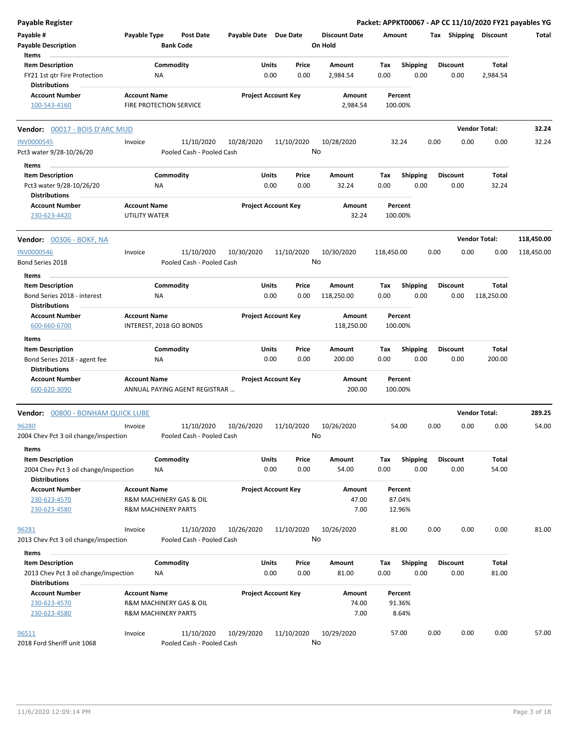| <b>Payable Register</b>                                                                  |                                      |                                                           |                       |                            |                                 |                    |                         |      |                         |                        | Packet: APPKT00067 - AP CC 11/10/2020 FY21 payables YG |
|------------------------------------------------------------------------------------------|--------------------------------------|-----------------------------------------------------------|-----------------------|----------------------------|---------------------------------|--------------------|-------------------------|------|-------------------------|------------------------|--------------------------------------------------------|
| Payable #<br><b>Payable Description</b>                                                  | Payable Type                         | <b>Post Date</b><br><b>Bank Code</b>                      | Payable Date Due Date |                            | <b>Discount Date</b><br>On Hold | Amount             |                         |      |                         | Tax Shipping Discount  | Total                                                  |
| Items<br><b>Item Description</b>                                                         |                                      | Commodity                                                 | Units                 | Price                      | Amount                          | Tax                | <b>Shipping</b>         |      | <b>Discount</b>         | Total                  |                                                        |
| FY21 1st qtr Fire Protection<br><b>Distributions</b>                                     |                                      | ΝA                                                        |                       | 0.00<br>0.00               | 2,984.54                        | 0.00               | 0.00                    |      | 0.00                    | 2,984.54               |                                                        |
| <b>Account Number</b><br>100-543-4160                                                    | <b>Account Name</b>                  | <b>FIRE PROTECTION SERVICE</b>                            |                       | <b>Project Account Key</b> | Amount<br>2,984.54              | Percent<br>100.00% |                         |      |                         |                        |                                                        |
| Vendor: 00017 - BOIS D'ARC MUD                                                           |                                      |                                                           |                       |                            |                                 |                    |                         |      |                         | <b>Vendor Total:</b>   | 32.24                                                  |
| <b>INV0000545</b>                                                                        | Invoice                              | 11/10/2020                                                | 10/28/2020            | 11/10/2020                 | 10/28/2020                      | 32.24              |                         | 0.00 | 0.00                    | 0.00                   | 32.24                                                  |
| Pct3 water 9/28-10/26/20                                                                 |                                      | Pooled Cash - Pooled Cash                                 |                       |                            | No                              |                    |                         |      |                         |                        |                                                        |
| Items                                                                                    |                                      |                                                           |                       |                            |                                 |                    |                         |      |                         |                        |                                                        |
| <b>Item Description</b><br>Pct3 water 9/28-10/26/20<br><b>Distributions</b>              |                                      | Commodity<br>ΝA                                           | Units                 | Price<br>0.00<br>0.00      | Amount<br>32.24                 | Tax<br>0.00        | Shipping<br>0.00        |      | <b>Discount</b><br>0.00 | Total<br>32.24         |                                                        |
| <b>Account Number</b><br>230-623-4420                                                    | <b>Account Name</b><br>UTILITY WATER |                                                           |                       | <b>Project Account Key</b> | Amount<br>32.24                 | Percent<br>100.00% |                         |      |                         |                        |                                                        |
| <b>Vendor:</b> 00306 - BOKF, NA                                                          |                                      |                                                           |                       |                            |                                 |                    |                         |      |                         | <b>Vendor Total:</b>   | 118,450.00                                             |
| <b>INV0000546</b><br>Bond Series 2018                                                    | Invoice                              | 11/10/2020<br>Pooled Cash - Pooled Cash                   | 10/30/2020            | 11/10/2020                 | 10/30/2020<br>No                | 118,450.00         |                         | 0.00 | 0.00                    | 0.00                   | 118,450.00                                             |
| Items                                                                                    |                                      |                                                           |                       |                            |                                 |                    |                         |      |                         |                        |                                                        |
| <b>Item Description</b>                                                                  |                                      | Commodity                                                 | Units                 | Price                      | Amount                          | Tax                | <b>Shipping</b>         |      | <b>Discount</b>         | <b>Total</b>           |                                                        |
| Bond Series 2018 - interest<br><b>Distributions</b>                                      |                                      | ΝA                                                        |                       | 0.00<br>0.00               | 118,250.00                      | 0.00               | 0.00                    |      | 0.00                    | 118,250.00             |                                                        |
| <b>Account Number</b><br>600-660-6700                                                    | <b>Account Name</b>                  | INTEREST, 2018 GO BONDS                                   |                       | <b>Project Account Key</b> | Amount<br>118,250.00            | Percent<br>100.00% |                         |      |                         |                        |                                                        |
| Items                                                                                    |                                      |                                                           |                       |                            |                                 |                    |                         |      |                         |                        |                                                        |
| <b>Item Description</b><br>Bond Series 2018 - agent fee<br><b>Distributions</b>          |                                      | Commodity<br>ΝA                                           | Units                 | Price<br>0.00<br>0.00      | Amount<br>200.00                | Tax<br>0.00        | <b>Shipping</b><br>0.00 |      | <b>Discount</b><br>0.00 | <b>Total</b><br>200.00 |                                                        |
| <b>Account Number</b><br>600-620-3090                                                    | <b>Account Name</b>                  | ANNUAL PAYING AGENT REGISTRAR                             |                       | <b>Project Account Key</b> | Amount<br>200.00                | Percent<br>100.00% |                         |      |                         |                        |                                                        |
| 00800 - BONHAM QUICK LUBE<br>Vendor:                                                     |                                      |                                                           |                       |                            |                                 |                    |                         |      |                         | <b>Vendor Total:</b>   | 289.25                                                 |
| 96280<br>2004 Chev Pct 3 oil change/inspection                                           | Invoice                              | 11/10/2020<br>Pooled Cash - Pooled Cash                   | 10/26/2020            | 11/10/2020                 | 10/26/2020<br>No                | 54.00              |                         | 0.00 | 0.00                    | 0.00                   | 54.00                                                  |
| Items                                                                                    |                                      |                                                           |                       |                            |                                 |                    |                         |      |                         |                        |                                                        |
| <b>Item Description</b><br>2004 Chev Pct 3 oil change/inspection<br><b>Distributions</b> |                                      | Commodity<br><b>NA</b>                                    | Units                 | Price<br>0.00<br>0.00      | Amount<br>54.00                 | Tax<br>0.00        | Shipping<br>0.00        |      | <b>Discount</b><br>0.00 | Total<br>54.00         |                                                        |
| <b>Account Number</b>                                                                    | <b>Account Name</b>                  |                                                           |                       | <b>Project Account Key</b> | Amount                          | Percent            |                         |      |                         |                        |                                                        |
| 230-623-4570<br>230-623-4580                                                             |                                      | R&M MACHINERY GAS & OIL<br><b>R&amp;M MACHINERY PARTS</b> |                       |                            | 47.00<br>7.00                   | 87.04%<br>12.96%   |                         |      |                         |                        |                                                        |
| 96281<br>2013 Chev Pct 3 oil change/inspection                                           | Invoice                              | 11/10/2020<br>Pooled Cash - Pooled Cash                   | 10/26/2020            | 11/10/2020                 | 10/26/2020<br>No                | 81.00              |                         | 0.00 | 0.00                    | 0.00                   | 81.00                                                  |
| Items                                                                                    |                                      |                                                           |                       |                            |                                 |                    |                         |      |                         |                        |                                                        |
| <b>Item Description</b><br>2013 Chev Pct 3 oil change/inspection                         |                                      | Commodity<br>NA                                           | Units                 | Price<br>0.00<br>0.00      | Amount<br>81.00                 | Tax<br>0.00        | <b>Shipping</b><br>0.00 |      | <b>Discount</b><br>0.00 | Total<br>81.00         |                                                        |
| <b>Distributions</b><br><b>Account Number</b>                                            | <b>Account Name</b>                  |                                                           |                       | <b>Project Account Key</b> | Amount                          | Percent            |                         |      |                         |                        |                                                        |
| 230-623-4570                                                                             |                                      | R&M MACHINERY GAS & OIL                                   |                       |                            | 74.00                           | 91.36%             |                         |      |                         |                        |                                                        |
| 230-623-4580                                                                             |                                      | <b>R&amp;M MACHINERY PARTS</b>                            |                       |                            | 7.00                            | 8.64%              |                         |      |                         |                        |                                                        |
| 96511<br>2018 Ford Sheriff unit 1068                                                     | Invoice                              | 11/10/2020<br>Pooled Cash - Pooled Cash                   | 10/29/2020            | 11/10/2020                 | 10/29/2020<br>No                | 57.00              |                         | 0.00 | 0.00                    | 0.00                   | 57.00                                                  |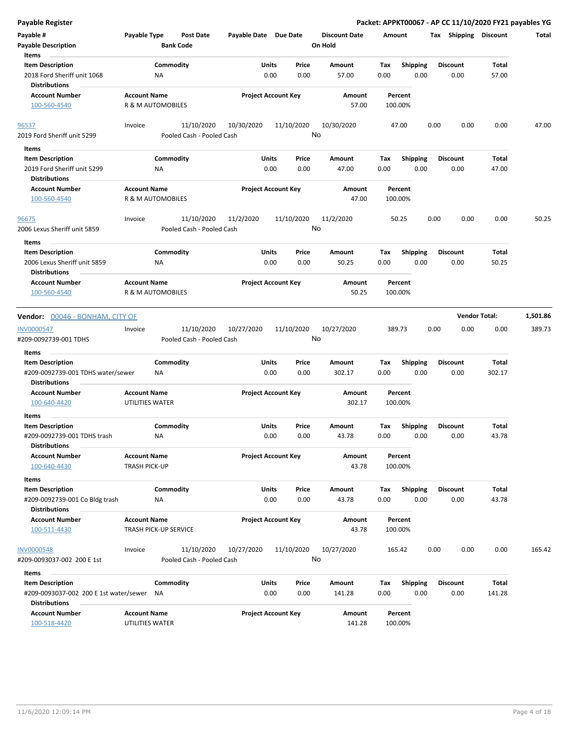| <b>Payable Register</b>                                                              |                                             |                              |                           |                            |               |               |                                 |             |                         |      |                         | Packet: APPKT00067 - AP CC 11/10/2020 FY21 payables YG |              |
|--------------------------------------------------------------------------------------|---------------------------------------------|------------------------------|---------------------------|----------------------------|---------------|---------------|---------------------------------|-------------|-------------------------|------|-------------------------|--------------------------------------------------------|--------------|
| Payable #<br><b>Payable Description</b>                                              | Payable Type                                | <b>Bank Code</b>             | <b>Post Date</b>          | Payable Date Due Date      |               |               | <b>Discount Date</b><br>On Hold | Amount      |                         |      |                         | Tax Shipping Discount                                  | <b>Total</b> |
| Items                                                                                |                                             |                              |                           |                            | Units         | Price         |                                 |             |                         |      | <b>Discount</b>         |                                                        |              |
| <b>Item Description</b><br>2018 Ford Sheriff unit 1068<br><b>Distributions</b>       |                                             | Commodity<br>NA              |                           |                            | 0.00          | 0.00          | Amount<br>57.00                 | Tax<br>0.00 | <b>Shipping</b><br>0.00 |      | 0.00                    | Total<br>57.00                                         |              |
| <b>Account Number</b><br>100-560-4540                                                | <b>Account Name</b>                         | R & M AUTOMOBILES            |                           | <b>Project Account Key</b> |               |               | Amount<br>57.00                 |             | Percent<br>100.00%      |      |                         |                                                        |              |
|                                                                                      |                                             |                              |                           |                            |               |               |                                 |             |                         |      |                         |                                                        |              |
| 96537                                                                                | Invoice                                     |                              | 11/10/2020                | 10/30/2020                 |               | 11/10/2020    | 10/30/2020                      |             | 47.00                   | 0.00 | 0.00                    | 0.00                                                   | 47.00        |
| 2019 Ford Sheriff unit 5299                                                          |                                             |                              | Pooled Cash - Pooled Cash |                            |               |               | No                              |             |                         |      |                         |                                                        |              |
| Items                                                                                |                                             |                              |                           |                            |               |               |                                 |             |                         |      |                         |                                                        |              |
| <b>Item Description</b><br>2019 Ford Sheriff unit 5299<br><b>Distributions</b>       |                                             | Commodity<br>ΝA              |                           |                            | Units<br>0.00 | Price<br>0.00 | Amount<br>47.00                 | Тах<br>0.00 | <b>Shipping</b><br>0.00 |      | <b>Discount</b><br>0.00 | Total<br>47.00                                         |              |
| <b>Account Number</b>                                                                | <b>Account Name</b>                         |                              |                           | <b>Project Account Key</b> |               |               | Amount                          |             | Percent                 |      |                         |                                                        |              |
| 100-560-4540                                                                         |                                             | R & M AUTOMOBILES            |                           |                            |               |               | 47.00                           |             | 100.00%                 |      |                         |                                                        |              |
| 96675                                                                                | Invoice                                     |                              | 11/10/2020                | 11/2/2020                  |               | 11/10/2020    | 11/2/2020                       |             | 50.25                   | 0.00 | 0.00                    | 0.00                                                   | 50.25        |
| 2006 Lexus Sheriff unit 5859<br>Items                                                |                                             |                              | Pooled Cash - Pooled Cash |                            |               |               | No                              |             |                         |      |                         |                                                        |              |
| <b>Item Description</b>                                                              |                                             | Commodity                    |                           |                            | Units         | Price         | Amount                          | Tax         | <b>Shipping</b>         |      | <b>Discount</b>         | Total                                                  |              |
| 2006 Lexus Sheriff unit 5859<br><b>Distributions</b>                                 |                                             | ΝA                           |                           |                            | 0.00          | 0.00          | 50.25                           | 0.00        | 0.00                    |      | 0.00                    | 50.25                                                  |              |
| <b>Account Number</b>                                                                | <b>Account Name</b>                         |                              |                           | <b>Project Account Key</b> |               |               | Amount                          |             | Percent                 |      |                         |                                                        |              |
| 100-560-4540                                                                         |                                             | R & M AUTOMOBILES            |                           |                            |               |               | 50.25                           |             | 100.00%                 |      |                         |                                                        |              |
| Vendor: 00046 - BONHAM, CITY OF                                                      |                                             |                              |                           |                            |               |               |                                 |             |                         |      |                         | <b>Vendor Total:</b>                                   | 1,501.86     |
| <b>INV0000547</b>                                                                    | Invoice                                     |                              | 11/10/2020                | 10/27/2020                 |               | 11/10/2020    | 10/27/2020                      |             | 389.73                  | 0.00 | 0.00                    | 0.00                                                   | 389.73       |
| #209-0092739-001 TDHS                                                                |                                             |                              | Pooled Cash - Pooled Cash |                            |               |               | No                              |             |                         |      |                         |                                                        |              |
| Items                                                                                |                                             |                              |                           |                            |               |               |                                 |             |                         |      |                         |                                                        |              |
| <b>Item Description</b><br>#209-0092739-001 TDHS water/sewer<br><b>Distributions</b> |                                             | Commodity<br>NA              |                           |                            | Units<br>0.00 | Price<br>0.00 | Amount<br>302.17                | Tax<br>0.00 | Shipping<br>0.00        |      | <b>Discount</b><br>0.00 | Total<br>302.17                                        |              |
| <b>Account Number</b>                                                                | <b>Account Name</b>                         |                              |                           | <b>Project Account Key</b> |               |               | Amount                          |             | Percent                 |      |                         |                                                        |              |
| 100-640-4420                                                                         | UTILITIES WATER                             |                              |                           |                            |               |               | 302.17                          |             | 100.00%                 |      |                         |                                                        |              |
| Items                                                                                |                                             |                              |                           |                            |               |               |                                 |             |                         |      |                         |                                                        |              |
| <b>Item Description</b><br>#209-0092739-001 TDHS trash<br><b>Distributions</b>       |                                             | Commodity<br>ΝA              |                           |                            | Units<br>0.00 | Price<br>0.00 | Amount<br>43.78                 | Тах<br>0.00 | <b>Shipping</b><br>0.00 |      | <b>Discount</b><br>0.00 | <b>Total</b><br>43.78                                  |              |
| <b>Account Number</b><br>100-640-4430                                                | <b>Account Name</b><br><b>TRASH PICK-UP</b> |                              |                           | <b>Project Account Key</b> |               |               | Amount<br>43.78                 |             | Percent<br>100.00%      |      |                         |                                                        |              |
| Items                                                                                |                                             |                              |                           |                            |               |               |                                 |             |                         |      |                         |                                                        |              |
| <b>Item Description</b><br>#209-0092739-001 Co Bldg trash                            |                                             | Commodity<br>ΝA              |                           |                            | Units<br>0.00 | Price<br>0.00 | Amount<br>43.78                 | Tax<br>0.00 | <b>Shipping</b><br>0.00 |      | <b>Discount</b><br>0.00 | Total<br>43.78                                         |              |
| <b>Distributions</b>                                                                 |                                             |                              |                           |                            |               |               |                                 |             |                         |      |                         |                                                        |              |
| <b>Account Number</b><br>100-511-4430                                                | <b>Account Name</b>                         | <b>TRASH PICK-UP SERVICE</b> |                           | <b>Project Account Key</b> |               |               | Amount<br>43.78                 |             | Percent<br>100.00%      |      |                         |                                                        |              |
| <b>INV0000548</b>                                                                    | Invoice                                     |                              | 11/10/2020                | 10/27/2020                 |               | 11/10/2020    | 10/27/2020                      |             | 165.42                  | 0.00 | 0.00                    | 0.00                                                   | 165.42       |
| #209-0093037-002 200 E 1st                                                           |                                             |                              | Pooled Cash - Pooled Cash |                            |               |               | No                              |             |                         |      |                         |                                                        |              |
| Items                                                                                |                                             |                              |                           |                            |               |               |                                 |             |                         |      |                         |                                                        |              |
| <b>Item Description</b>                                                              |                                             | Commodity                    |                           |                            | Units         | Price         | Amount                          | Tax         | <b>Shipping</b>         |      | <b>Discount</b>         | Total                                                  |              |
| #209-0093037-002 200 E 1st water/sewer<br><b>Distributions</b>                       |                                             | NA                           |                           |                            | 0.00          | 0.00          | 141.28                          | 0.00        | 0.00                    |      | 0.00                    | 141.28                                                 |              |
| <b>Account Number</b><br>100-518-4420                                                | <b>Account Name</b><br>UTILITIES WATER      |                              |                           | <b>Project Account Key</b> |               |               | Amount<br>141.28                |             | Percent<br>100.00%      |      |                         |                                                        |              |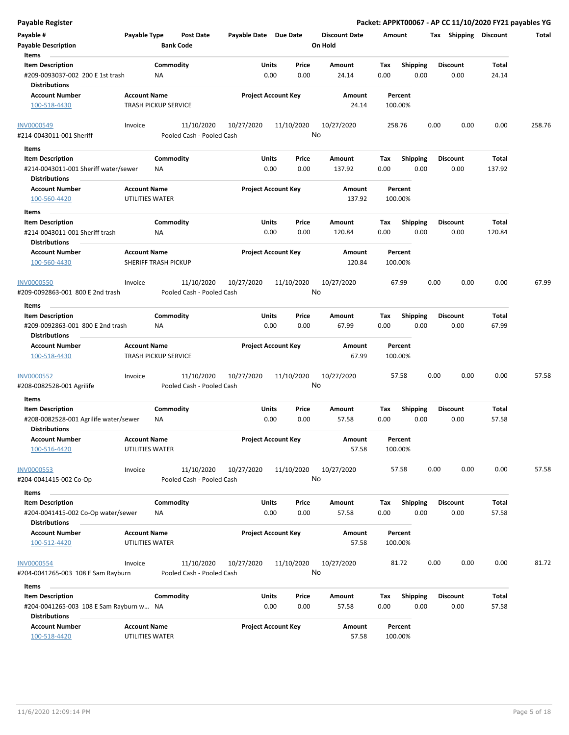| Payable Register                                                                         |                                                    |                                         |                       |                            |                                 | Packet: APPKT00067 - AP CC 11/10/2020 FY21 payables YG |                         |                       |        |
|------------------------------------------------------------------------------------------|----------------------------------------------------|-----------------------------------------|-----------------------|----------------------------|---------------------------------|--------------------------------------------------------|-------------------------|-----------------------|--------|
| Payable #<br><b>Payable Description</b>                                                  | Payable Type                                       | <b>Post Date</b><br><b>Bank Code</b>    | Payable Date Due Date |                            | <b>Discount Date</b><br>On Hold | Amount                                                 | Tax Shipping Discount   |                       | Total  |
| Items                                                                                    |                                                    |                                         |                       |                            |                                 |                                                        |                         |                       |        |
| <b>Item Description</b><br>#209-0093037-002 200 E 1st trash<br><b>Distributions</b>      |                                                    | Commodity<br>ΝA                         | Units                 | Price<br>0.00<br>0.00      | Amount<br>24.14                 | <b>Shipping</b><br>Tax<br>0.00<br>0.00                 | <b>Discount</b><br>0.00 | <b>Total</b><br>24.14 |        |
| <b>Account Number</b>                                                                    | <b>Account Name</b>                                |                                         |                       | <b>Project Account Key</b> | Amount                          | Percent                                                |                         |                       |        |
| 100-518-4430                                                                             | <b>TRASH PICKUP SERVICE</b>                        |                                         |                       |                            | 24.14                           | 100.00%                                                |                         |                       |        |
| <b>INV0000549</b>                                                                        | Invoice                                            | 11/10/2020                              | 10/27/2020            | 11/10/2020                 | 10/27/2020<br>No                | 258.76                                                 | 0.00<br>0.00            | 0.00                  | 258.76 |
| #214-0043011-001 Sheriff                                                                 |                                                    | Pooled Cash - Pooled Cash               |                       |                            |                                 |                                                        |                         |                       |        |
| Items                                                                                    |                                                    |                                         |                       |                            |                                 |                                                        |                         |                       |        |
| <b>Item Description</b><br>#214-0043011-001 Sheriff water/sewer<br><b>Distributions</b>  |                                                    | Commodity<br>NA                         | Units<br>0.00         | Price<br>0.00              | Amount<br>137.92                | Tax<br><b>Shipping</b><br>0.00<br>0.00                 | <b>Discount</b><br>0.00 | Total<br>137.92       |        |
| <b>Account Number</b><br>100-560-4420                                                    | <b>Account Name</b><br>UTILITIES WATER             |                                         |                       | <b>Project Account Key</b> | Amount<br>137.92                | Percent<br>100.00%                                     |                         |                       |        |
| Items                                                                                    |                                                    |                                         |                       |                            |                                 |                                                        |                         |                       |        |
| <b>Item Description</b><br>#214-0043011-001 Sheriff trash                                |                                                    | Commodity<br>NA                         | Units<br>0.00         | Price<br>0.00              | <b>Amount</b><br>120.84         | <b>Shipping</b><br>Tax<br>0.00<br>0.00                 | <b>Discount</b><br>0.00 | Total<br>120.84       |        |
| <b>Distributions</b><br><b>Account Number</b><br>100-560-4430                            | <b>Account Name</b><br><b>SHERIFF TRASH PICKUP</b> |                                         |                       | <b>Project Account Key</b> | Amount<br>120.84                | Percent<br>100.00%                                     |                         |                       |        |
| <b>INV0000550</b>                                                                        | Invoice                                            | 11/10/2020                              | 10/27/2020            | 11/10/2020                 | 10/27/2020                      | 67.99                                                  | 0.00<br>0.00            | 0.00                  | 67.99  |
| #209-0092863-001 800 E 2nd trash<br>Items                                                |                                                    | Pooled Cash - Pooled Cash               |                       |                            | No                              |                                                        |                         |                       |        |
| <b>Item Description</b>                                                                  |                                                    | Commodity                               | Units                 | Price                      | Amount                          | <b>Shipping</b><br>Tax                                 | <b>Discount</b>         | Total                 |        |
| #209-0092863-001 800 E 2nd trash<br><b>Distributions</b>                                 |                                                    | ΝA                                      | 0.00                  | 0.00                       | 67.99                           | 0.00<br>0.00                                           | 0.00                    | 67.99                 |        |
| <b>Account Number</b><br>100-518-4430                                                    | <b>Account Name</b><br><b>TRASH PICKUP SERVICE</b> |                                         |                       | <b>Project Account Key</b> | Amount<br>67.99                 | Percent<br>100.00%                                     |                         |                       |        |
| <b>INV0000552</b><br>#208-0082528-001 Agrilife                                           | Invoice                                            | 11/10/2020<br>Pooled Cash - Pooled Cash | 10/27/2020            | 11/10/2020                 | 10/27/2020<br>No                | 57.58                                                  | 0.00<br>0.00            | 0.00                  | 57.58  |
|                                                                                          |                                                    |                                         |                       |                            |                                 |                                                        |                         |                       |        |
| Items                                                                                    |                                                    |                                         |                       |                            |                                 |                                                        |                         |                       |        |
| <b>Item Description</b><br>#208-0082528-001 Agrilife water/sewer<br><b>Distributions</b> |                                                    | Commodity<br>ΝA                         | Units<br>0.00         | Price<br>0.00              | Amount<br>57.58                 | Tax<br><b>Shipping</b><br>0.00<br>0.00                 | Discount<br>0.00        | Total<br>57.58        |        |
| <b>Account Number</b><br>100-516-4420                                                    | <b>Account Name</b><br>UTILITIES WATER             |                                         |                       | <b>Project Account Key</b> | Amount<br>57.58                 | Percent<br>100.00%                                     |                         |                       |        |
| <b>INV0000553</b><br>#204-0041415-002 Co-Op                                              | Invoice                                            | 11/10/2020<br>Pooled Cash - Pooled Cash | 10/27/2020            | 11/10/2020                 | 10/27/2020<br>No                | 57.58                                                  | 0.00<br>0.00            | 0.00                  | 57.58  |
| Items                                                                                    |                                                    |                                         |                       |                            |                                 |                                                        |                         |                       |        |
| <b>Item Description</b>                                                                  |                                                    | Commodity                               | Units                 | Price                      | Amount                          | Tax<br><b>Shipping</b>                                 | <b>Discount</b>         | Total                 |        |
| #204-0041415-002 Co-Op water/sewer<br><b>Distributions</b>                               |                                                    | NA                                      |                       | 0.00<br>0.00               | 57.58                           | 0.00<br>0.00                                           | 0.00                    | 57.58                 |        |
| <b>Account Number</b>                                                                    | <b>Account Name</b>                                |                                         |                       | <b>Project Account Key</b> | Amount                          | Percent                                                |                         |                       |        |
| 100-512-4420                                                                             | UTILITIES WATER                                    |                                         |                       |                            | 57.58                           | 100.00%                                                |                         |                       |        |
| <b>INV0000554</b>                                                                        | Invoice                                            | 11/10/2020                              | 10/27/2020            | 11/10/2020                 | 10/27/2020                      | 81.72                                                  | 0.00<br>0.00            | 0.00                  | 81.72  |
| #204-0041265-003 108 E Sam Rayburn                                                       |                                                    | Pooled Cash - Pooled Cash               |                       |                            | No                              |                                                        |                         |                       |        |
| Items                                                                                    |                                                    |                                         |                       |                            |                                 |                                                        |                         |                       |        |
| <b>Item Description</b>                                                                  |                                                    | Commodity                               | Units                 | Price                      | Amount                          | Tax<br><b>Shipping</b>                                 | <b>Discount</b>         | Total                 |        |
| #204-0041265-003 108 E Sam Rayburn w NA<br><b>Distributions</b>                          |                                                    |                                         | 0.00                  | 0.00                       | 57.58                           | 0.00<br>0.00                                           | 0.00                    | 57.58                 |        |
| <b>Account Number</b>                                                                    | <b>Account Name</b>                                |                                         |                       | <b>Project Account Key</b> | Amount                          | Percent                                                |                         |                       |        |
| 100-518-4420                                                                             | UTILITIES WATER                                    |                                         |                       |                            | 57.58                           | 100.00%                                                |                         |                       |        |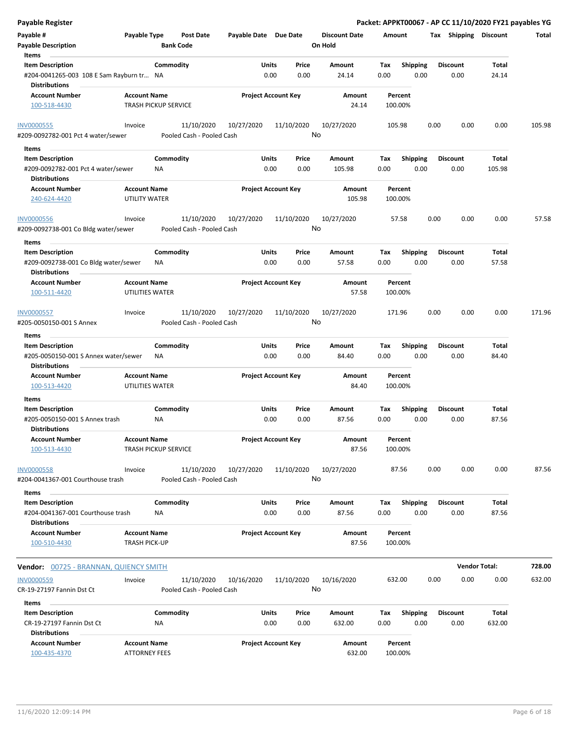| Payable Register                                                                     |                                             |                             |                                         |                            |               |                  |                                 |             |                         |      |                         | Packet: APPKT00067 - AP CC 11/10/2020 FY21 payables YG |        |
|--------------------------------------------------------------------------------------|---------------------------------------------|-----------------------------|-----------------------------------------|----------------------------|---------------|------------------|---------------------------------|-------------|-------------------------|------|-------------------------|--------------------------------------------------------|--------|
| Payable #<br><b>Payable Description</b>                                              | Payable Type                                | <b>Bank Code</b>            | Post Date                               | Payable Date Due Date      |               |                  | <b>Discount Date</b><br>On Hold | Amount      |                         |      | Tax Shipping Discount   |                                                        | Total  |
| Items                                                                                |                                             |                             |                                         |                            |               |                  |                                 |             |                         |      |                         |                                                        |        |
| <b>Item Description</b><br>#204-0041265-003 108 E Sam Rayburn tr NA                  |                                             | Commodity                   |                                         |                            | Units<br>0.00 | Price<br>0.00    | Amount<br>24.14                 | Tax<br>0.00 | Shipping<br>0.00        |      | <b>Discount</b><br>0.00 | Total<br>24.14                                         |        |
| <b>Distributions</b>                                                                 |                                             |                             |                                         |                            |               |                  |                                 |             |                         |      |                         |                                                        |        |
| <b>Account Number</b><br>100-518-4430                                                | <b>Account Name</b>                         | <b>TRASH PICKUP SERVICE</b> |                                         | <b>Project Account Key</b> |               |                  | Amount<br>24.14                 |             | Percent<br>100.00%      |      |                         |                                                        |        |
| <b>INV0000555</b><br>#209-0092782-001 Pct 4 water/sewer                              | Invoice                                     |                             | 11/10/2020<br>Pooled Cash - Pooled Cash | 10/27/2020                 |               | 11/10/2020<br>No | 10/27/2020                      |             | 105.98                  | 0.00 | 0.00                    | 0.00                                                   | 105.98 |
| Items                                                                                |                                             |                             |                                         |                            |               |                  |                                 |             |                         |      |                         |                                                        |        |
| <b>Item Description</b>                                                              |                                             | Commodity                   |                                         |                            | Units         | Price            | Amount                          | Tax         | <b>Shipping</b>         |      | <b>Discount</b>         | Total                                                  |        |
| #209-0092782-001 Pct 4 water/sewer<br><b>Distributions</b>                           |                                             | ΝA                          |                                         |                            | 0.00          | 0.00             | 105.98                          | 0.00        | 0.00                    |      | 0.00                    | 105.98                                                 |        |
| <b>Account Number</b>                                                                | <b>Account Name</b>                         |                             |                                         | <b>Project Account Key</b> |               |                  | Amount                          |             | Percent                 |      |                         |                                                        |        |
| 240-624-4420                                                                         | UTILITY WATER                               |                             |                                         |                            |               |                  | 105.98                          |             | 100.00%                 |      |                         |                                                        |        |
| <b>INV0000556</b><br>#209-0092738-001 Co Bldg water/sewer                            | Invoice                                     |                             | 11/10/2020<br>Pooled Cash - Pooled Cash | 10/27/2020                 |               | 11/10/2020<br>No | 10/27/2020                      |             | 57.58                   | 0.00 | 0.00                    | 0.00                                                   | 57.58  |
| Items                                                                                |                                             |                             |                                         |                            |               |                  |                                 |             |                         |      |                         |                                                        |        |
| <b>Item Description</b><br>#209-0092738-001 Co Bldg water/sewer                      |                                             | Commodity<br><b>NA</b>      |                                         |                            | Units<br>0.00 | Price<br>0.00    | Amount<br>57.58                 | Tax<br>0.00 | <b>Shipping</b><br>0.00 |      | <b>Discount</b><br>0.00 | Total<br>57.58                                         |        |
| <b>Distributions</b>                                                                 |                                             |                             |                                         |                            |               |                  |                                 |             |                         |      |                         |                                                        |        |
| <b>Account Number</b><br>100-511-4420                                                | <b>Account Name</b><br>UTILITIES WATER      |                             |                                         | <b>Project Account Key</b> |               |                  | Amount<br>57.58                 |             | Percent<br>100.00%      |      |                         |                                                        |        |
| <b>INV0000557</b>                                                                    | Invoice                                     |                             | 11/10/2020                              | 10/27/2020                 |               | 11/10/2020       | 10/27/2020                      |             | 171.96                  | 0.00 | 0.00                    | 0.00                                                   | 171.96 |
| #205-0050150-001 S Annex<br>Items                                                    |                                             |                             | Pooled Cash - Pooled Cash               |                            |               | No               |                                 |             |                         |      |                         |                                                        |        |
| <b>Item Description</b>                                                              |                                             | Commodity                   |                                         |                            | Units         | Price            | Amount                          | Tax         | <b>Shipping</b>         |      | <b>Discount</b>         | Total                                                  |        |
| #205-0050150-001 S Annex water/sewer<br><b>Distributions</b>                         |                                             | <b>NA</b>                   |                                         |                            | 0.00          | 0.00             | 84.40                           | 0.00        | 0.00                    |      | 0.00                    | 84.40                                                  |        |
| <b>Account Number</b><br>100-513-4420                                                | <b>Account Name</b><br>UTILITIES WATER      |                             |                                         | <b>Project Account Key</b> |               |                  | Amount<br>84.40                 |             | Percent<br>100.00%      |      |                         |                                                        |        |
| Items                                                                                |                                             |                             |                                         |                            |               |                  |                                 |             |                         |      |                         |                                                        |        |
| <b>Item Description</b><br>#205-0050150-001 S Annex trash                            |                                             | Commodity<br>ΝA             |                                         |                            | Units<br>0.00 | Price<br>0.00    | Amount<br>87.56                 | Tax<br>0.00 | <b>Shipping</b><br>0.00 |      | <b>Discount</b><br>0.00 | Total<br>87.56                                         |        |
| <b>Distributions</b>                                                                 |                                             |                             |                                         |                            |               |                  |                                 |             |                         |      |                         |                                                        |        |
| <b>Account Number</b><br>100-513-4430                                                | <b>Account Name</b>                         | <b>TRASH PICKUP SERVICE</b> |                                         | <b>Project Account Key</b> |               |                  | Amount<br>87.56                 |             | Percent<br>100.00%      |      |                         |                                                        |        |
| <b>INV0000558</b><br>#204-0041367-001 Courthouse trash                               | Invoice                                     |                             | 11/10/2020<br>Pooled Cash - Pooled Cash | 10/27/2020                 |               | 11/10/2020<br>No | 10/27/2020                      |             | 87.56                   | 0.00 | 0.00                    | 0.00                                                   | 87.56  |
| Items                                                                                |                                             |                             |                                         |                            |               |                  |                                 |             |                         |      |                         |                                                        |        |
| <b>Item Description</b><br>#204-0041367-001 Courthouse trash<br><b>Distributions</b> |                                             | Commodity<br>ΝA             |                                         |                            | Units<br>0.00 | Price<br>0.00    | Amount<br>87.56                 | Tax<br>0.00 | <b>Shipping</b><br>0.00 |      | <b>Discount</b><br>0.00 | Total<br>87.56                                         |        |
| <b>Account Number</b>                                                                | <b>Account Name</b>                         |                             |                                         | <b>Project Account Key</b> |               |                  | Amount                          |             | Percent                 |      |                         |                                                        |        |
| 100-510-4430                                                                         | <b>TRASH PICK-UP</b>                        |                             |                                         |                            |               |                  | 87.56                           |             | 100.00%                 |      |                         |                                                        |        |
| Vendor: 00725 - BRANNAN, QUIENCY SMITH                                               |                                             |                             |                                         |                            |               |                  |                                 |             |                         |      |                         | <b>Vendor Total:</b>                                   | 728.00 |
| <b>INV0000559</b><br>CR-19-27197 Fannin Dst Ct                                       | Invoice                                     |                             | 11/10/2020<br>Pooled Cash - Pooled Cash | 10/16/2020                 |               | 11/10/2020<br>No | 10/16/2020                      |             | 632.00                  | 0.00 | 0.00                    | 0.00                                                   | 632.00 |
| Items                                                                                |                                             |                             |                                         |                            |               |                  |                                 |             |                         |      |                         |                                                        |        |
| <b>Item Description</b>                                                              |                                             | Commodity                   |                                         |                            | Units         | Price            | Amount                          | Tax         | <b>Shipping</b>         |      | <b>Discount</b>         | Total                                                  |        |
| CR-19-27197 Fannin Dst Ct<br><b>Distributions</b>                                    |                                             | <b>NA</b>                   |                                         |                            | 0.00          | 0.00             | 632.00                          | 0.00        | 0.00                    |      | 0.00                    | 632.00                                                 |        |
| <b>Account Number</b><br>100-435-4370                                                | <b>Account Name</b><br><b>ATTORNEY FEES</b> |                             |                                         | <b>Project Account Key</b> |               |                  | Amount<br>632.00                |             | Percent<br>100.00%      |      |                         |                                                        |        |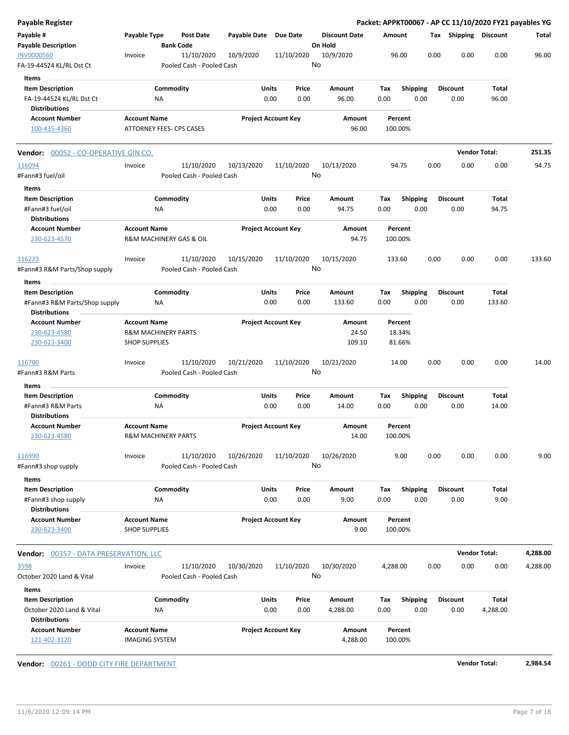| Payable Type                         | Post Date                                                                        | Payable Date                                                                                                                                                                                                                                                                                                 | Due Date                                                                                                                                                                                 | <b>Discount Date</b>                                                                                                                                                                                                                                                                                                                  |                                                                                                 |                                     |                                                                                                                                                                                                              |                                                                                                                                                                                           |                                                                                                                                                        | Total                                                                                                                                                                                         |
|--------------------------------------|----------------------------------------------------------------------------------|--------------------------------------------------------------------------------------------------------------------------------------------------------------------------------------------------------------------------------------------------------------------------------------------------------------|------------------------------------------------------------------------------------------------------------------------------------------------------------------------------------------|---------------------------------------------------------------------------------------------------------------------------------------------------------------------------------------------------------------------------------------------------------------------------------------------------------------------------------------|-------------------------------------------------------------------------------------------------|-------------------------------------|--------------------------------------------------------------------------------------------------------------------------------------------------------------------------------------------------------------|-------------------------------------------------------------------------------------------------------------------------------------------------------------------------------------------|--------------------------------------------------------------------------------------------------------------------------------------------------------|-----------------------------------------------------------------------------------------------------------------------------------------------------------------------------------------------|
| Invoice                              | 11/10/2020                                                                       | 10/9/2020                                                                                                                                                                                                                                                                                                    | 11/10/2020                                                                                                                                                                               | 10/9/2020                                                                                                                                                                                                                                                                                                                             |                                                                                                 |                                     |                                                                                                                                                                                                              | 0.00                                                                                                                                                                                      | 0.00                                                                                                                                                   | 96.00                                                                                                                                                                                         |
|                                      |                                                                                  |                                                                                                                                                                                                                                                                                                              | Price                                                                                                                                                                                    | Amount                                                                                                                                                                                                                                                                                                                                | Tax                                                                                             |                                     |                                                                                                                                                                                                              |                                                                                                                                                                                           | Total                                                                                                                                                  |                                                                                                                                                                                               |
|                                      |                                                                                  |                                                                                                                                                                                                                                                                                                              |                                                                                                                                                                                          |                                                                                                                                                                                                                                                                                                                                       |                                                                                                 |                                     |                                                                                                                                                                                                              |                                                                                                                                                                                           |                                                                                                                                                        |                                                                                                                                                                                               |
| <b>Account Name</b>                  |                                                                                  |                                                                                                                                                                                                                                                                                                              |                                                                                                                                                                                          | Amount                                                                                                                                                                                                                                                                                                                                |                                                                                                 |                                     |                                                                                                                                                                                                              |                                                                                                                                                                                           |                                                                                                                                                        |                                                                                                                                                                                               |
|                                      |                                                                                  |                                                                                                                                                                                                                                                                                                              |                                                                                                                                                                                          | 96.00                                                                                                                                                                                                                                                                                                                                 |                                                                                                 |                                     |                                                                                                                                                                                                              |                                                                                                                                                                                           |                                                                                                                                                        |                                                                                                                                                                                               |
| Vendor: 00052 - CO-OPERATIVE GIN CO. |                                                                                  |                                                                                                                                                                                                                                                                                                              |                                                                                                                                                                                          |                                                                                                                                                                                                                                                                                                                                       |                                                                                                 |                                     |                                                                                                                                                                                                              |                                                                                                                                                                                           |                                                                                                                                                        | 251.35                                                                                                                                                                                        |
| Invoice                              | 11/10/2020                                                                       | 10/13/2020                                                                                                                                                                                                                                                                                                   | 11/10/2020                                                                                                                                                                               | 10/13/2020                                                                                                                                                                                                                                                                                                                            |                                                                                                 |                                     |                                                                                                                                                                                                              | 0.00                                                                                                                                                                                      | 0.00                                                                                                                                                   | 94.75                                                                                                                                                                                         |
|                                      |                                                                                  |                                                                                                                                                                                                                                                                                                              |                                                                                                                                                                                          |                                                                                                                                                                                                                                                                                                                                       |                                                                                                 |                                     |                                                                                                                                                                                                              |                                                                                                                                                                                           |                                                                                                                                                        |                                                                                                                                                                                               |
| ΝA                                   |                                                                                  |                                                                                                                                                                                                                                                                                                              | Price<br>0.00                                                                                                                                                                            | Amount<br>94.75                                                                                                                                                                                                                                                                                                                       | Tax<br>0.00                                                                                     |                                     |                                                                                                                                                                                                              | 0.00                                                                                                                                                                                      | Total<br>94.75                                                                                                                                         |                                                                                                                                                                                               |
| <b>Account Name</b>                  |                                                                                  |                                                                                                                                                                                                                                                                                                              |                                                                                                                                                                                          | Amount<br>94.75                                                                                                                                                                                                                                                                                                                       |                                                                                                 |                                     |                                                                                                                                                                                                              |                                                                                                                                                                                           |                                                                                                                                                        |                                                                                                                                                                                               |
| Invoice                              | 11/10/2020                                                                       | 10/15/2020                                                                                                                                                                                                                                                                                                   | 11/10/2020                                                                                                                                                                               | 10/15/2020                                                                                                                                                                                                                                                                                                                            |                                                                                                 |                                     |                                                                                                                                                                                                              | 0.00                                                                                                                                                                                      | 0.00                                                                                                                                                   | 133.60                                                                                                                                                                                        |
|                                      |                                                                                  |                                                                                                                                                                                                                                                                                                              |                                                                                                                                                                                          |                                                                                                                                                                                                                                                                                                                                       |                                                                                                 |                                     |                                                                                                                                                                                                              |                                                                                                                                                                                           |                                                                                                                                                        |                                                                                                                                                                                               |
|                                      |                                                                                  |                                                                                                                                                                                                                                                                                                              | Price                                                                                                                                                                                    | Amount                                                                                                                                                                                                                                                                                                                                | Tax                                                                                             |                                     |                                                                                                                                                                                                              |                                                                                                                                                                                           |                                                                                                                                                        |                                                                                                                                                                                               |
|                                      |                                                                                  |                                                                                                                                                                                                                                                                                                              |                                                                                                                                                                                          |                                                                                                                                                                                                                                                                                                                                       |                                                                                                 |                                     |                                                                                                                                                                                                              |                                                                                                                                                                                           |                                                                                                                                                        |                                                                                                                                                                                               |
| <b>Account Name</b>                  |                                                                                  |                                                                                                                                                                                                                                                                                                              |                                                                                                                                                                                          | Amount                                                                                                                                                                                                                                                                                                                                |                                                                                                 |                                     |                                                                                                                                                                                                              |                                                                                                                                                                                           |                                                                                                                                                        |                                                                                                                                                                                               |
|                                      |                                                                                  |                                                                                                                                                                                                                                                                                                              |                                                                                                                                                                                          | 24.50<br>109.10                                                                                                                                                                                                                                                                                                                       |                                                                                                 |                                     |                                                                                                                                                                                                              |                                                                                                                                                                                           |                                                                                                                                                        |                                                                                                                                                                                               |
| Invoice                              | 11/10/2020                                                                       | 10/21/2020                                                                                                                                                                                                                                                                                                   | 11/10/2020                                                                                                                                                                               | 10/21/2020                                                                                                                                                                                                                                                                                                                            |                                                                                                 |                                     |                                                                                                                                                                                                              | 0.00                                                                                                                                                                                      | 0.00                                                                                                                                                   | 14.00                                                                                                                                                                                         |
|                                      |                                                                                  |                                                                                                                                                                                                                                                                                                              |                                                                                                                                                                                          |                                                                                                                                                                                                                                                                                                                                       |                                                                                                 |                                     |                                                                                                                                                                                                              |                                                                                                                                                                                           |                                                                                                                                                        |                                                                                                                                                                                               |
|                                      |                                                                                  |                                                                                                                                                                                                                                                                                                              | Price                                                                                                                                                                                    | Amount                                                                                                                                                                                                                                                                                                                                | Tax                                                                                             |                                     |                                                                                                                                                                                                              |                                                                                                                                                                                           | Total                                                                                                                                                  |                                                                                                                                                                                               |
|                                      |                                                                                  |                                                                                                                                                                                                                                                                                                              |                                                                                                                                                                                          |                                                                                                                                                                                                                                                                                                                                       |                                                                                                 |                                     |                                                                                                                                                                                                              |                                                                                                                                                                                           |                                                                                                                                                        |                                                                                                                                                                                               |
| <b>Account Name</b>                  |                                                                                  |                                                                                                                                                                                                                                                                                                              |                                                                                                                                                                                          | Amount<br>14.00                                                                                                                                                                                                                                                                                                                       |                                                                                                 |                                     |                                                                                                                                                                                                              |                                                                                                                                                                                           |                                                                                                                                                        |                                                                                                                                                                                               |
| Invoice                              | 11/10/2020                                                                       | 10/26/2020                                                                                                                                                                                                                                                                                                   | 11/10/2020                                                                                                                                                                               | 10/26/2020                                                                                                                                                                                                                                                                                                                            |                                                                                                 |                                     |                                                                                                                                                                                                              | 0.00                                                                                                                                                                                      | 0.00                                                                                                                                                   | 9.00                                                                                                                                                                                          |
|                                      |                                                                                  |                                                                                                                                                                                                                                                                                                              |                                                                                                                                                                                          |                                                                                                                                                                                                                                                                                                                                       |                                                                                                 |                                     |                                                                                                                                                                                                              |                                                                                                                                                                                           |                                                                                                                                                        |                                                                                                                                                                                               |
|                                      |                                                                                  |                                                                                                                                                                                                                                                                                                              | 0.00                                                                                                                                                                                     | 9.00                                                                                                                                                                                                                                                                                                                                  |                                                                                                 |                                     |                                                                                                                                                                                                              |                                                                                                                                                                                           |                                                                                                                                                        |                                                                                                                                                                                               |
|                                      |                                                                                  |                                                                                                                                                                                                                                                                                                              |                                                                                                                                                                                          |                                                                                                                                                                                                                                                                                                                                       |                                                                                                 |                                     |                                                                                                                                                                                                              |                                                                                                                                                                                           |                                                                                                                                                        |                                                                                                                                                                                               |
| <b>Account Name</b>                  |                                                                                  |                                                                                                                                                                                                                                                                                                              |                                                                                                                                                                                          | Amount<br>9.00                                                                                                                                                                                                                                                                                                                        |                                                                                                 |                                     |                                                                                                                                                                                                              |                                                                                                                                                                                           |                                                                                                                                                        |                                                                                                                                                                                               |
|                                      |                                                                                  |                                                                                                                                                                                                                                                                                                              |                                                                                                                                                                                          |                                                                                                                                                                                                                                                                                                                                       |                                                                                                 |                                     |                                                                                                                                                                                                              |                                                                                                                                                                                           |                                                                                                                                                        | 4,288.00                                                                                                                                                                                      |
|                                      |                                                                                  |                                                                                                                                                                                                                                                                                                              |                                                                                                                                                                                          |                                                                                                                                                                                                                                                                                                                                       |                                                                                                 |                                     |                                                                                                                                                                                                              |                                                                                                                                                                                           |                                                                                                                                                        | 4,288.00                                                                                                                                                                                      |
|                                      |                                                                                  |                                                                                                                                                                                                                                                                                                              |                                                                                                                                                                                          |                                                                                                                                                                                                                                                                                                                                       |                                                                                                 |                                     |                                                                                                                                                                                                              |                                                                                                                                                                                           |                                                                                                                                                        |                                                                                                                                                                                               |
|                                      |                                                                                  |                                                                                                                                                                                                                                                                                                              |                                                                                                                                                                                          |                                                                                                                                                                                                                                                                                                                                       |                                                                                                 |                                     |                                                                                                                                                                                                              |                                                                                                                                                                                           |                                                                                                                                                        |                                                                                                                                                                                               |
|                                      |                                                                                  |                                                                                                                                                                                                                                                                                                              | Price                                                                                                                                                                                    | Amount                                                                                                                                                                                                                                                                                                                                | Tax                                                                                             |                                     |                                                                                                                                                                                                              |                                                                                                                                                                                           | Total                                                                                                                                                  |                                                                                                                                                                                               |
| ΝA                                   |                                                                                  |                                                                                                                                                                                                                                                                                                              | 0.00                                                                                                                                                                                     | 4,288.00                                                                                                                                                                                                                                                                                                                              | 0.00                                                                                            |                                     |                                                                                                                                                                                                              | 0.00                                                                                                                                                                                      | 4,288.00                                                                                                                                               |                                                                                                                                                                                               |
| <b>Account Name</b>                  |                                                                                  |                                                                                                                                                                                                                                                                                                              |                                                                                                                                                                                          | Amount<br>4,288.00                                                                                                                                                                                                                                                                                                                    |                                                                                                 |                                     |                                                                                                                                                                                                              |                                                                                                                                                                                           |                                                                                                                                                        |                                                                                                                                                                                               |
|                                      | ΝA<br>NA<br>ΝA<br>ΝA<br><b>Vendor:</b> 00357 - DATA PRESERVATION, LLC<br>Invoice | <b>Bank Code</b><br>Commodity<br><b>ATTORNEY FEES- CPS CASES</b><br>Commodity<br>R&M MACHINERY GAS & OIL<br>Commodity<br><b>R&amp;M MACHINERY PARTS</b><br><b>SHOP SUPPLIES</b><br>Commodity<br>R&M MACHINERY PARTS<br>Commodity<br><b>SHOP SUPPLIES</b><br>11/10/2020<br>Commodity<br><b>IMAGING SYSTEM</b> | Pooled Cash - Pooled Cash<br>Pooled Cash - Pooled Cash<br>Pooled Cash - Pooled Cash<br>Pooled Cash - Pooled Cash<br>Pooled Cash - Pooled Cash<br>10/30/2020<br>Pooled Cash - Pooled Cash | Units<br>0.00<br>0.00<br><b>Project Account Key</b><br>Units<br>0.00<br><b>Project Account Key</b><br>Units<br>0.00<br>0.00<br><b>Project Account Key</b><br>Units<br>0.00<br>0.00<br><b>Project Account Key</b><br>Units<br>Price<br>0.00<br><b>Project Account Key</b><br>11/10/2020<br>Units<br>0.00<br><b>Project Account Key</b> | On Hold<br>No<br>96.00<br>No<br>No<br>133.60<br>No<br>14.00<br>No<br>Amount<br>10/30/2020<br>No | 0.00<br>0.00<br>0.00<br>Тах<br>0.00 | Amount<br>96.00<br>Percent<br>100.00%<br>94.75<br>Percent<br>100.00%<br>133.60<br>Percent<br>18.34%<br>81.66%<br>14.00<br>Percent<br>100.00%<br>9.00<br>Percent<br>100.00%<br>4,288.00<br>Percent<br>100.00% | 0.00<br>Shipping<br>0.00<br>0.00<br><b>Shipping</b><br>0.00<br>0.00<br>Shipping<br>0.00<br>0.00<br><b>Shipping</b><br>0.00<br>0.00<br>Shipping<br>0.00<br>0.00<br><b>Shipping</b><br>0.00 | <b>Discount</b><br>0.00<br><b>Discount</b><br><b>Discount</b><br>0.00<br><b>Discount</b><br>0.00<br><b>Discount</b><br>0.00<br>0.00<br><b>Discount</b> | Packet: APPKT00067 - AP CC 11/10/2020 FY21 payables YG<br>Tax Shipping Discount<br>96.00<br><b>Vendor Total:</b><br>Total<br>133.60<br>14.00<br>Total<br>9.00<br><b>Vendor Total:</b><br>0.00 |

**Vendor:**  $\underline{00261}$  - DODD CITY FIRE DEPARTMENT **Vendor Total:** 2,984.54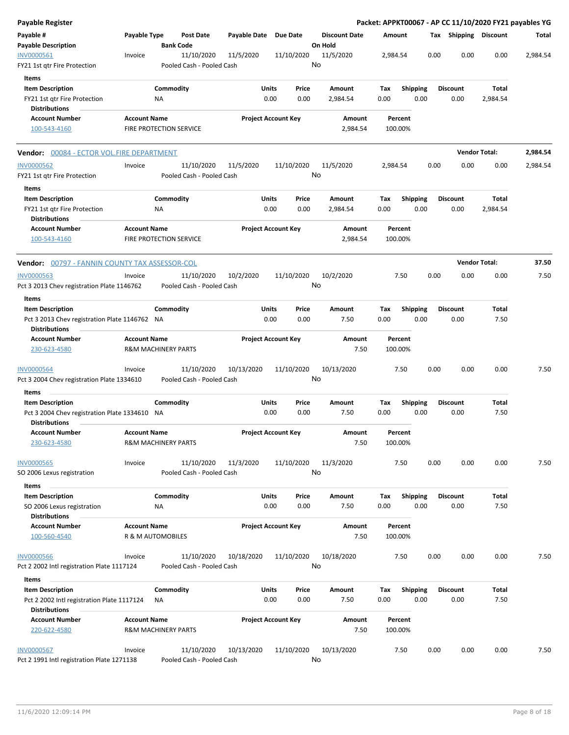| Payable Register                                                      |                         |                                |                                         |               |                            |                                 |                    |                    |                 |      |                         |                      | Packet: APPKT00067 - AP CC 11/10/2020 FY21 payables YG |
|-----------------------------------------------------------------------|-------------------------|--------------------------------|-----------------------------------------|---------------|----------------------------|---------------------------------|--------------------|--------------------|-----------------|------|-------------------------|----------------------|--------------------------------------------------------|
| Payable #<br><b>Payable Description</b>                               | Payable Type            | <b>Bank Code</b>               | <b>Post Date</b>                        | Payable Date  | <b>Due Date</b>            | <b>Discount Date</b><br>On Hold |                    | Amount             |                 |      | Tax Shipping Discount   |                      | Total                                                  |
| INV0000561<br>FY21 1st qtr Fire Protection                            | Invoice                 |                                | 11/10/2020<br>Pooled Cash - Pooled Cash | 11/5/2020     | 11/10/2020                 | 11/5/2020<br>No                 |                    | 2,984.54           |                 | 0.00 | 0.00                    | 0.00                 | 2,984.54                                               |
| Items                                                                 |                         |                                |                                         |               |                            |                                 |                    |                    |                 |      |                         |                      |                                                        |
| <b>Item Description</b>                                               |                         | Commodity                      |                                         | Units         | Price                      | Amount                          |                    | Тах                | <b>Shipping</b> |      | <b>Discount</b>         | Total                |                                                        |
| FY21 1st qtr Fire Protection                                          |                         | ΝA                             |                                         | 0.00          | 0.00                       | 2,984.54                        |                    | 0.00               |                 | 0.00 | 0.00                    | 2,984.54             |                                                        |
| <b>Distributions</b>                                                  |                         |                                |                                         |               |                            |                                 |                    |                    |                 |      |                         |                      |                                                        |
| <b>Account Number</b>                                                 | <b>Account Name</b>     |                                |                                         |               | <b>Project Account Key</b> |                                 | Amount             | Percent            |                 |      |                         |                      |                                                        |
| 100-543-4160                                                          | FIRE PROTECTION SERVICE |                                |                                         |               |                            |                                 | 2,984.54           | 100.00%            |                 |      |                         |                      |                                                        |
| <b>Vendor:</b> 00084 - ECTOR VOL.FIRE DEPARTMENT                      |                         |                                |                                         |               |                            |                                 |                    |                    |                 |      |                         | <b>Vendor Total:</b> | 2,984.54                                               |
| <b>INV0000562</b>                                                     | Invoice                 |                                | 11/10/2020                              | 11/5/2020     | 11/10/2020                 | 11/5/2020                       |                    | 2,984.54           |                 | 0.00 | 0.00                    | 0.00                 | 2,984.54                                               |
| FY21 1st qtr Fire Protection                                          |                         |                                | Pooled Cash - Pooled Cash               |               |                            | No                              |                    |                    |                 |      |                         |                      |                                                        |
| Items                                                                 |                         |                                |                                         |               |                            |                                 |                    |                    |                 |      |                         |                      |                                                        |
| <b>Item Description</b><br>FY21 1st qtr Fire Protection               |                         | Commodity<br>ΝA                |                                         | Units<br>0.00 | Price<br>0.00              | Amount<br>2,984.54              |                    | Tax<br>0.00        | <b>Shipping</b> | 0.00 | <b>Discount</b><br>0.00 | Total<br>2,984.54    |                                                        |
| <b>Distributions</b>                                                  |                         |                                |                                         |               |                            |                                 |                    |                    |                 |      |                         |                      |                                                        |
| <b>Account Number</b><br>100-543-4160                                 | <b>Account Name</b>     | FIRE PROTECTION SERVICE        |                                         |               | <b>Project Account Key</b> |                                 | Amount<br>2,984.54 | Percent<br>100.00% |                 |      |                         |                      |                                                        |
| <b>Vendor:</b> 00797 - FANNIN COUNTY TAX ASSESSOR-COL                 |                         |                                |                                         |               |                            |                                 |                    |                    |                 |      |                         | <b>Vendor Total:</b> | 37.50                                                  |
| <b>INV0000563</b>                                                     | Invoice                 |                                | 11/10/2020                              | 10/2/2020     | 11/10/2020                 | 10/2/2020                       |                    |                    | 7.50            | 0.00 | 0.00                    | 0.00                 | 7.50                                                   |
| Pct 3 2013 Chev registration Plate 1146762                            |                         |                                | Pooled Cash - Pooled Cash               |               |                            | No                              |                    |                    |                 |      |                         |                      |                                                        |
| Items                                                                 |                         |                                |                                         |               |                            |                                 |                    |                    |                 |      |                         |                      |                                                        |
| <b>Item Description</b>                                               |                         | Commodity                      |                                         | Units         | Price                      | Amount                          |                    | Tax                | <b>Shipping</b> |      | <b>Discount</b>         | Total                |                                                        |
| Pct 3 2013 Chev registration Plate 1146762 NA<br><b>Distributions</b> |                         |                                |                                         | 0.00          | 0.00                       | 7.50                            |                    | 0.00               |                 | 0.00 | 0.00                    | 7.50                 |                                                        |
| <b>Account Number</b>                                                 | <b>Account Name</b>     |                                |                                         |               | <b>Project Account Key</b> |                                 | Amount             | Percent            |                 |      |                         |                      |                                                        |
| 230-623-4580                                                          |                         | <b>R&amp;M MACHINERY PARTS</b> |                                         |               |                            |                                 | 7.50               | 100.00%            |                 |      |                         |                      |                                                        |
| <b>INV0000564</b><br>Pct 3 2004 Chev registration Plate 1334610       | Invoice                 |                                | 11/10/2020<br>Pooled Cash - Pooled Cash | 10/13/2020    | 11/10/2020                 | 10/13/2020<br>No                |                    |                    | 7.50            | 0.00 | 0.00                    | 0.00                 | 7.50                                                   |
|                                                                       |                         |                                |                                         |               |                            |                                 |                    |                    |                 |      |                         |                      |                                                        |
| Items<br><b>Item Description</b>                                      |                         | Commodity                      |                                         | Units         | Price                      | Amount                          |                    | Tax                | <b>Shipping</b> |      | <b>Discount</b>         | Total                |                                                        |
| Pct 3 2004 Chev registration Plate 1334610 NA<br><b>Distributions</b> |                         |                                |                                         | 0.00          | 0.00                       | 7.50                            |                    | 0.00               |                 | 0.00 | 0.00                    | 7.50                 |                                                        |
| <b>Account Number</b>                                                 | <b>Account Name</b>     |                                |                                         |               | <b>Project Account Key</b> |                                 | Amount             |                    | Percent         |      |                         |                      |                                                        |
| 230-623-4580                                                          |                         | <b>R&amp;M MACHINERY PARTS</b> |                                         |               |                            |                                 | 7.50               | 100.00%            |                 |      |                         |                      |                                                        |
| <b>INV0000565</b>                                                     | Invoice                 |                                | 11/10/2020                              | 11/3/2020     | 11/10/2020                 | 11/3/2020                       |                    |                    | 7.50            | 0.00 | 0.00                    | 0.00                 | 7.50                                                   |
| SO 2006 Lexus registration                                            |                         |                                | Pooled Cash - Pooled Cash               |               |                            | No                              |                    |                    |                 |      |                         |                      |                                                        |
| Items                                                                 |                         |                                |                                         |               |                            |                                 |                    |                    |                 |      |                         |                      |                                                        |
| <b>Item Description</b>                                               |                         | Commodity                      |                                         | Units         | Price                      | Amount                          |                    | Tax                | <b>Shipping</b> |      | <b>Discount</b>         | Total                |                                                        |
| SO 2006 Lexus registration                                            |                         | NA                             |                                         | 0.00          | 0.00                       | 7.50                            |                    | 0.00               |                 | 0.00 | 0.00                    | 7.50                 |                                                        |
| <b>Distributions</b>                                                  |                         |                                |                                         |               |                            |                                 |                    |                    |                 |      |                         |                      |                                                        |
| <b>Account Number</b>                                                 | <b>Account Name</b>     |                                |                                         |               | <b>Project Account Key</b> |                                 | Amount             | Percent            |                 |      |                         |                      |                                                        |
| 100-560-4540                                                          |                         | R & M AUTOMOBILES              |                                         |               |                            |                                 | 7.50               | 100.00%            |                 |      |                         |                      |                                                        |
| <b>INV0000566</b><br>Pct 2 2002 Intl registration Plate 1117124       | Invoice                 |                                | 11/10/2020<br>Pooled Cash - Pooled Cash | 10/18/2020    | 11/10/2020                 | 10/18/2020<br>No                |                    |                    | 7.50            | 0.00 | 0.00                    | 0.00                 | 7.50                                                   |
|                                                                       |                         |                                |                                         |               |                            |                                 |                    |                    |                 |      |                         |                      |                                                        |
| Items                                                                 |                         |                                |                                         |               |                            |                                 |                    |                    |                 |      |                         |                      |                                                        |
| <b>Item Description</b><br>Pct 2 2002 Intl registration Plate 1117124 |                         | Commodity<br>ΝA                |                                         | Units<br>0.00 | Price<br>0.00              | Amount<br>7.50                  |                    | Тах<br>0.00        | <b>Shipping</b> | 0.00 | <b>Discount</b><br>0.00 | Total<br>7.50        |                                                        |
| <b>Distributions</b>                                                  |                         |                                |                                         |               |                            |                                 |                    |                    |                 |      |                         |                      |                                                        |
| <b>Account Number</b><br>220-622-4580                                 | <b>Account Name</b>     | <b>R&amp;M MACHINERY PARTS</b> |                                         |               | <b>Project Account Key</b> |                                 | Amount<br>7.50     | Percent<br>100.00% |                 |      |                         |                      |                                                        |
| <b>INV0000567</b>                                                     | Invoice                 |                                | 11/10/2020                              | 10/13/2020    | 11/10/2020                 | 10/13/2020                      |                    |                    | 7.50            | 0.00 | 0.00                    | 0.00                 | 7.50                                                   |
| Pct 2 1991 Intl registration Plate 1271138                            |                         |                                | Pooled Cash - Pooled Cash               |               |                            | No                              |                    |                    |                 |      |                         |                      |                                                        |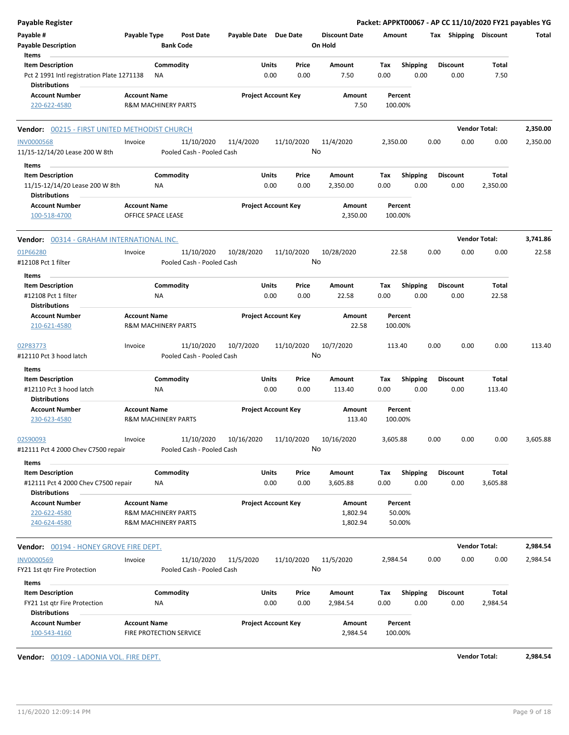| Payable Register                                                   |                     |                                      |                            |       |            |                                 |                    |                 |      |                       | Packet: APPKT00067 - AP CC 11/10/2020 FY21 payables YG |          |
|--------------------------------------------------------------------|---------------------|--------------------------------------|----------------------------|-------|------------|---------------------------------|--------------------|-----------------|------|-----------------------|--------------------------------------------------------|----------|
| Payable #<br><b>Payable Description</b>                            | Payable Type        | <b>Post Date</b><br><b>Bank Code</b> | Payable Date Due Date      |       |            | <b>Discount Date</b><br>On Hold | Amount             |                 |      | Tax Shipping Discount |                                                        | Total    |
| Items<br><b>Item Description</b>                                   |                     | Commodity                            |                            | Units | Price      | Amount                          | Tax                | <b>Shipping</b> |      | <b>Discount</b>       | Total                                                  |          |
| Pct 2 1991 Intl registration Plate 1271138<br><b>Distributions</b> |                     | ΝA                                   |                            | 0.00  | 0.00       | 7.50                            | 0.00               | 0.00            |      | 0.00                  | 7.50                                                   |          |
| <b>Account Number</b><br>220-622-4580                              | <b>Account Name</b> | <b>R&amp;M MACHINERY PARTS</b>       | <b>Project Account Key</b> |       |            | Amount<br>7.50                  | Percent<br>100.00% |                 |      |                       |                                                        |          |
| <b>Vendor: 00215 - FIRST UNITED METHODIST CHURCH</b>               |                     |                                      |                            |       |            |                                 |                    |                 |      |                       | <b>Vendor Total:</b>                                   | 2,350.00 |
| <b>INV0000568</b>                                                  | Invoice             | 11/10/2020                           | 11/4/2020                  |       | 11/10/2020 | 11/4/2020                       | 2,350.00           |                 | 0.00 | 0.00                  | 0.00                                                   | 2,350.00 |
| 11/15-12/14/20 Lease 200 W 8th                                     |                     | Pooled Cash - Pooled Cash            |                            |       |            | No                              |                    |                 |      |                       |                                                        |          |
| Items                                                              |                     |                                      |                            |       |            |                                 |                    |                 |      |                       |                                                        |          |
| <b>Item Description</b>                                            |                     | Commodity                            |                            | Units | Price      | Amount                          | Tax                | <b>Shipping</b> |      | <b>Discount</b>       | Total                                                  |          |
| 11/15-12/14/20 Lease 200 W 8th<br><b>Distributions</b>             |                     | ΝA                                   |                            | 0.00  | 0.00       | 2,350.00                        | 0.00               | 0.00            |      | 0.00                  | 2,350.00                                               |          |
| <b>Account Number</b><br>100-518-4700                              | <b>Account Name</b> | OFFICE SPACE LEASE                   | <b>Project Account Key</b> |       |            | Amount<br>2,350.00              | Percent<br>100.00% |                 |      |                       |                                                        |          |
| <b>Vendor: 00314 - GRAHAM INTERNATIONAL INC.</b>                   |                     |                                      |                            |       |            |                                 |                    |                 |      |                       | <b>Vendor Total:</b>                                   | 3.741.86 |
| 01P66280                                                           | Invoice             | 11/10/2020                           | 10/28/2020                 |       | 11/10/2020 | 10/28/2020                      | 22.58              |                 | 0.00 | 0.00                  | 0.00                                                   | 22.58    |
| #12108 Pct 1 filter                                                |                     | Pooled Cash - Pooled Cash            |                            |       |            | No                              |                    |                 |      |                       |                                                        |          |
| Items                                                              |                     |                                      |                            |       |            |                                 |                    |                 |      |                       |                                                        |          |
| <b>Item Description</b>                                            |                     | Commodity                            |                            | Units | Price      | Amount                          | Tax                | <b>Shipping</b> |      | <b>Discount</b>       | Total                                                  |          |
| #12108 Pct 1 filter<br><b>Distributions</b>                        |                     | NA                                   |                            | 0.00  | 0.00       | 22.58                           | 0.00               | 0.00            |      | 0.00                  | 22.58                                                  |          |
| <b>Account Number</b>                                              | <b>Account Name</b> |                                      | <b>Project Account Key</b> |       |            | Amount                          | Percent            |                 |      |                       |                                                        |          |
| 210-621-4580                                                       |                     | <b>R&amp;M MACHINERY PARTS</b>       |                            |       |            | 22.58                           | 100.00%            |                 |      |                       |                                                        |          |
| 02P83773                                                           | Invoice             | 11/10/2020                           | 10/7/2020                  |       | 11/10/2020 | 10/7/2020                       | 113.40             |                 | 0.00 | 0.00                  | 0.00                                                   | 113.40   |
| #12110 Pct 3 hood latch                                            |                     | Pooled Cash - Pooled Cash            |                            |       |            | No                              |                    |                 |      |                       |                                                        |          |
| <b>Items</b>                                                       |                     |                                      |                            |       |            |                                 |                    |                 |      |                       |                                                        |          |
| <b>Item Description</b>                                            |                     | Commodity                            |                            | Units | Price      | Amount                          | Tax                | <b>Shipping</b> |      | <b>Discount</b>       | Total                                                  |          |
| #12110 Pct 3 hood latch                                            |                     | ΝA                                   |                            | 0.00  | 0.00       | 113.40                          | 0.00               | 0.00            |      | 0.00                  | 113.40                                                 |          |
| <b>Distributions</b>                                               |                     |                                      |                            |       |            |                                 |                    |                 |      |                       |                                                        |          |
| <b>Account Number</b>                                              | <b>Account Name</b> |                                      | <b>Project Account Key</b> |       |            | Amount                          | Percent            |                 |      |                       |                                                        |          |
| 230-623-4580                                                       |                     | <b>R&amp;M MACHINERY PARTS</b>       |                            |       |            | 113.40                          | 100.00%            |                 |      |                       |                                                        |          |
| 02S90093                                                           | Invoice             | 11/10/2020                           | 10/16/2020                 |       | 11/10/2020 | 10/16/2020                      | 3,605.88           |                 | 0.00 | 0.00                  | 0.00                                                   | 3,605.88 |
| #12111 Pct 4 2000 Chev C7500 repair                                |                     | Pooled Cash - Pooled Cash            |                            |       |            | No                              |                    |                 |      |                       |                                                        |          |
| Items                                                              |                     |                                      |                            |       |            |                                 |                    |                 |      |                       |                                                        |          |
| <b>Item Description</b>                                            |                     | Commodity                            |                            | Units | Price      | Amount                          | Tax                | Shipping        |      | <b>Discount</b>       | Total                                                  |          |
| #12111 Pct 4 2000 Chev C7500 repair                                |                     | ΝA                                   |                            | 0.00  | 0.00       | 3,605.88                        | 0.00               | 0.00            |      | 0.00                  | 3,605.88                                               |          |
| <b>Distributions</b>                                               |                     |                                      |                            |       |            |                                 |                    |                 |      |                       |                                                        |          |
| <b>Account Number</b>                                              | <b>Account Name</b> |                                      | <b>Project Account Key</b> |       |            | Amount                          | Percent            |                 |      |                       |                                                        |          |
| 220-622-4580                                                       |                     | <b>R&amp;M MACHINERY PARTS</b>       |                            |       |            | 1,802.94                        |                    | 50.00%          |      |                       |                                                        |          |
| 240-624-4580                                                       |                     | <b>R&amp;M MACHINERY PARTS</b>       |                            |       |            | 1,802.94                        |                    | 50.00%          |      |                       |                                                        |          |
| Vendor: 00194 - HONEY GROVE FIRE DEPT.                             |                     |                                      |                            |       |            |                                 |                    |                 |      |                       | <b>Vendor Total:</b>                                   | 2,984.54 |
| <b>INV0000569</b>                                                  | Invoice             | 11/10/2020                           | 11/5/2020                  |       | 11/10/2020 | 11/5/2020                       | 2,984.54           |                 | 0.00 | 0.00                  | 0.00                                                   | 2,984.54 |
| FY21 1st qtr Fire Protection                                       |                     | Pooled Cash - Pooled Cash            |                            |       |            | No                              |                    |                 |      |                       |                                                        |          |
| Items                                                              |                     |                                      |                            |       |            |                                 |                    |                 |      |                       |                                                        |          |
| <b>Item Description</b>                                            |                     | Commodity                            |                            | Units | Price      | Amount                          | Tax                | Shipping        |      | <b>Discount</b>       | Total                                                  |          |
| FY21 1st qtr Fire Protection                                       |                     | ΝA                                   |                            | 0.00  | 0.00       | 2,984.54                        | 0.00               | 0.00            |      | 0.00                  | 2,984.54                                               |          |
| <b>Distributions</b>                                               |                     |                                      |                            |       |            |                                 |                    |                 |      |                       |                                                        |          |
| <b>Account Number</b>                                              | <b>Account Name</b> |                                      | <b>Project Account Key</b> |       |            | Amount                          | Percent            |                 |      |                       |                                                        |          |
| 100-543-4160                                                       |                     | FIRE PROTECTION SERVICE              |                            |       |            | 2,984.54                        | 100.00%            |                 |      |                       |                                                        |          |
|                                                                    |                     |                                      |                            |       |            |                                 |                    |                 |      |                       |                                                        |          |
| Vendor: 00109 - LADONIA VOL. FIRE DEPT.                            |                     |                                      |                            |       |            |                                 |                    |                 |      |                       | <b>Vendor Total:</b>                                   | 2,984.54 |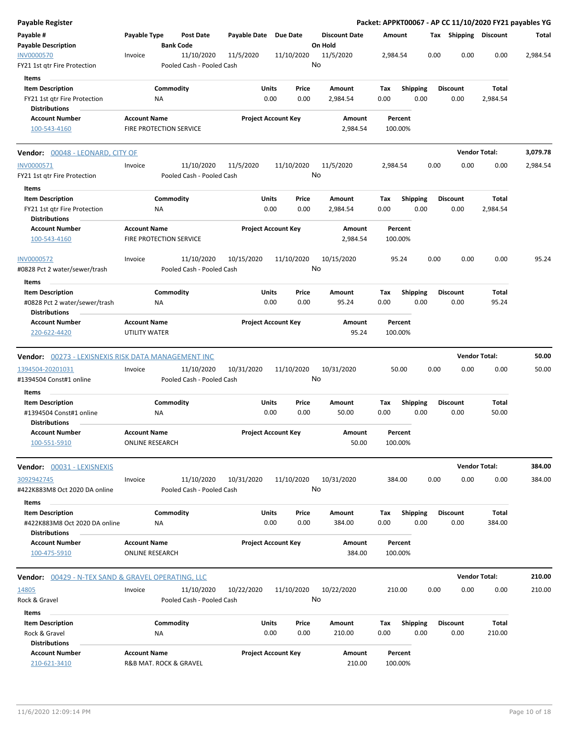| <b>Payable Register</b>                                                                   |                                      |                                         |                       |                                |                                 |                    |                         |      |                         |                      | Packet: APPKT00067 - AP CC 11/10/2020 FY21 payables YG |
|-------------------------------------------------------------------------------------------|--------------------------------------|-----------------------------------------|-----------------------|--------------------------------|---------------------------------|--------------------|-------------------------|------|-------------------------|----------------------|--------------------------------------------------------|
| Payable #<br><b>Payable Description</b>                                                   | Payable Type                         | <b>Post Date</b><br><b>Bank Code</b>    | Payable Date Due Date |                                | <b>Discount Date</b><br>On Hold | Amount             |                         |      | Tax Shipping Discount   |                      | Total                                                  |
| <b>INV0000570</b><br>FY21 1st qtr Fire Protection                                         | Invoice                              | 11/10/2020<br>Pooled Cash - Pooled Cash | 11/5/2020             | 11/10/2020                     | 11/5/2020<br>No                 | 2,984.54           |                         | 0.00 | 0.00                    | 0.00                 | 2,984.54                                               |
| Items                                                                                     |                                      |                                         |                       |                                |                                 |                    |                         |      |                         |                      |                                                        |
| <b>Item Description</b><br>FY21 1st qtr Fire Protection<br><b>Distributions</b>           |                                      | Commodity<br><b>NA</b>                  | <b>Units</b>          | Price<br>0.00<br>0.00          | Amount<br>2,984.54              | Tax<br>0.00        | <b>Shipping</b><br>0.00 |      | <b>Discount</b><br>0.00 | Total<br>2,984.54    |                                                        |
| <b>Account Number</b><br>100-543-4160                                                     | <b>Account Name</b>                  | <b>FIRE PROTECTION SERVICE</b>          |                       | <b>Project Account Key</b>     | Amount<br>2,984.54              | Percent<br>100.00% |                         |      |                         |                      |                                                        |
| <b>Vendor: 00048 - LEONARD, CITY OF</b>                                                   |                                      |                                         |                       |                                |                                 |                    |                         |      |                         | <b>Vendor Total:</b> | 3,079.78                                               |
| INV0000571<br>FY21 1st qtr Fire Protection                                                | Invoice                              | 11/10/2020<br>Pooled Cash - Pooled Cash | 11/5/2020             | 11/10/2020                     | 11/5/2020<br>No                 | 2,984.54           |                         | 0.00 | 0.00                    | 0.00                 | 2,984.54                                               |
| Items<br><b>Item Description</b>                                                          |                                      | Commodity                               |                       | Units<br>Price                 | Amount                          | Tax                | <b>Shipping</b>         |      | <b>Discount</b>         | Total                |                                                        |
| FY21 1st qtr Fire Protection<br><b>Distributions</b>                                      |                                      | ΝA                                      |                       | 0.00<br>0.00                   | 2,984.54                        | 0.00               | 0.00                    |      | 0.00                    | 2,984.54             |                                                        |
| <b>Account Number</b><br>100-543-4160                                                     | <b>Account Name</b>                  | <b>FIRE PROTECTION SERVICE</b>          |                       | <b>Project Account Key</b>     | Amount<br>2,984.54              | Percent<br>100.00% |                         |      |                         |                      |                                                        |
| <b>INV0000572</b><br>#0828 Pct 2 water/sewer/trash                                        | Invoice                              | 11/10/2020<br>Pooled Cash - Pooled Cash | 10/15/2020            | 11/10/2020                     | 10/15/2020<br>No                | 95.24              |                         | 0.00 | 0.00                    | 0.00                 | 95.24                                                  |
| Items<br><b>Item Description</b><br>#0828 Pct 2 water/sewer/trash<br><b>Distributions</b> |                                      | Commodity<br>NA                         | <b>Units</b>          | Price<br>0.00<br>0.00          | Amount<br>95.24                 | Tax<br>0.00        | <b>Shipping</b><br>0.00 |      | <b>Discount</b><br>0.00 | Total<br>95.24       |                                                        |
| <b>Account Number</b><br>220-622-4420                                                     | <b>Account Name</b><br>UTILITY WATER |                                         |                       | <b>Project Account Key</b>     | Amount<br>95.24                 | Percent<br>100.00% |                         |      |                         |                      |                                                        |
| Vendor: 00273 - LEXISNEXIS RISK DATA MANAGEMENT INC                                       |                                      |                                         |                       |                                |                                 |                    |                         |      |                         | <b>Vendor Total:</b> | 50.00                                                  |
| 1394504-20201031<br>#1394504 Const#1 online                                               | Invoice                              | 11/10/2020<br>Pooled Cash - Pooled Cash | 10/31/2020            | 11/10/2020                     | 10/31/2020<br>No                | 50.00              |                         | 0.00 | 0.00                    | 0.00                 | 50.00                                                  |
| Items                                                                                     |                                      |                                         |                       |                                |                                 |                    |                         |      |                         |                      |                                                        |
| <b>Item Description</b><br>#1394504 Const#1 online<br><b>Distributions</b>                |                                      | Commodity<br>NA                         |                       | Units<br>Price<br>0.00<br>0.00 | Amount<br>50.00                 | Tax<br>0.00        | <b>Shipping</b><br>0.00 |      | <b>Discount</b><br>0.00 | Total<br>50.00       |                                                        |
| <b>Account Number</b><br>100-551-5910                                                     | <b>Account Name</b>                  | <b>ONLINE RESEARCH</b>                  |                       | <b>Project Account Kev</b>     | Amount<br>50.00                 | Percent<br>100.00% |                         |      |                         |                      |                                                        |
| Vendor: 00031 - LEXISNEXIS                                                                |                                      |                                         |                       |                                |                                 |                    |                         |      |                         | <b>Vendor Total:</b> | 384.00                                                 |
| 3092942745<br>#422K883M8 Oct 2020 DA online                                               | Invoice                              | 11/10/2020<br>Pooled Cash - Pooled Cash | 10/31/2020            | 11/10/2020                     | 10/31/2020<br>No                | 384.00             |                         | 0.00 | 0.00                    | 0.00                 | 384.00                                                 |
| Items<br><b>Item Description</b><br>#422K883M8 Oct 2020 DA online                         |                                      | Commodity<br>NA                         | <b>Units</b>          | Price<br>0.00<br>0.00          | Amount<br>384.00                | Tax<br>0.00        | <b>Shipping</b><br>0.00 |      | <b>Discount</b><br>0.00 | Total<br>384.00      |                                                        |
| <b>Distributions</b><br><b>Account Number</b>                                             | <b>Account Name</b>                  |                                         |                       | <b>Project Account Key</b>     | Amount                          | Percent            |                         |      |                         |                      |                                                        |
| 100-475-5910                                                                              |                                      | <b>ONLINE RESEARCH</b>                  |                       |                                | 384.00                          | 100.00%            |                         |      |                         |                      |                                                        |
| <b>Vendor: 00429 - N-TEX SAND &amp; GRAVEL OPERATING, LLC</b>                             |                                      |                                         |                       |                                |                                 |                    |                         |      |                         | <b>Vendor Total:</b> | 210.00                                                 |
| 14805<br>Rock & Gravel                                                                    | Invoice                              | 11/10/2020<br>Pooled Cash - Pooled Cash | 10/22/2020            | 11/10/2020                     | 10/22/2020<br>No                | 210.00             |                         | 0.00 | 0.00                    | 0.00                 | 210.00                                                 |
| Items                                                                                     |                                      |                                         |                       |                                |                                 |                    |                         |      |                         |                      |                                                        |
| <b>Item Description</b><br>Rock & Gravel<br><b>Distributions</b>                          |                                      | Commodity<br>NA                         | <b>Units</b>          | Price<br>0.00<br>0.00          | Amount<br>210.00                | Tax<br>0.00        | Shipping<br>0.00        |      | <b>Discount</b><br>0.00 | Total<br>210.00      |                                                        |
| <b>Account Number</b><br>210-621-3410                                                     | <b>Account Name</b>                  | R&B MAT. ROCK & GRAVEL                  |                       | <b>Project Account Key</b>     | Amount<br>210.00                | Percent<br>100.00% |                         |      |                         |                      |                                                        |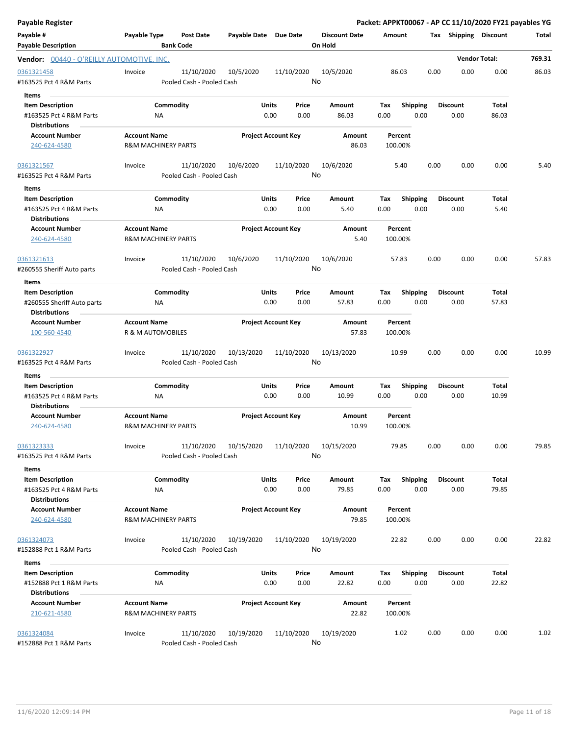| Payable Register                                                           |                                          |                                         |                            |               |                  |                                 |             |                         |      |                         |                      | Packet: APPKT00067 - AP CC 11/10/2020 FY21 payables YG |
|----------------------------------------------------------------------------|------------------------------------------|-----------------------------------------|----------------------------|---------------|------------------|---------------------------------|-------------|-------------------------|------|-------------------------|----------------------|--------------------------------------------------------|
| Payable #<br><b>Payable Description</b>                                    | Payable Type                             | <b>Post Date</b><br><b>Bank Code</b>    | Payable Date Due Date      |               |                  | <b>Discount Date</b><br>On Hold | Amount      |                         |      | Tax Shipping Discount   |                      | Total                                                  |
| Vendor: 00440 - O'REILLY AUTOMOTIVE, INC.                                  |                                          |                                         |                            |               |                  |                                 |             |                         |      |                         | <b>Vendor Total:</b> | 769.31                                                 |
| 0361321458<br>#163525 Pct 4 R&M Parts<br>Items                             | Invoice                                  | 11/10/2020<br>Pooled Cash - Pooled Cash | 10/5/2020                  |               | 11/10/2020<br>No | 10/5/2020                       | 86.03       |                         | 0.00 | 0.00                    | 0.00                 | 86.03                                                  |
| <b>Item Description</b><br>#163525 Pct 4 R&M Parts<br><b>Distributions</b> |                                          | Commodity<br>ΝA                         |                            | Units<br>0.00 | Price<br>0.00    | Amount<br>86.03                 | Tax<br>0.00 | <b>Shipping</b><br>0.00 |      | <b>Discount</b><br>0.00 | Total<br>86.03       |                                                        |
| <b>Account Number</b><br>240-624-4580                                      | <b>Account Name</b>                      | <b>R&amp;M MACHINERY PARTS</b>          | <b>Project Account Key</b> |               |                  | Amount<br>86.03                 | 100.00%     | Percent                 |      |                         |                      |                                                        |
| 0361321567<br>#163525 Pct 4 R&M Parts                                      | Invoice                                  | 11/10/2020<br>Pooled Cash - Pooled Cash | 10/6/2020                  |               | 11/10/2020       | 10/6/2020<br>No                 |             | 5.40                    | 0.00 | 0.00                    | 0.00                 | 5.40                                                   |
| Items<br><b>Item Description</b>                                           |                                          | Commodity                               |                            | Units         | Price            | Amount                          | Tax         | <b>Shipping</b>         |      | <b>Discount</b>         | Total                |                                                        |
| #163525 Pct 4 R&M Parts<br><b>Distributions</b>                            |                                          | NA                                      |                            | 0.00          | 0.00             | 5.40                            | 0.00        | 0.00                    |      | 0.00                    | 5.40                 |                                                        |
| <b>Account Number</b><br>240-624-4580                                      | <b>Account Name</b>                      | <b>R&amp;M MACHINERY PARTS</b>          | <b>Project Account Key</b> |               |                  | Amount<br>5.40                  | 100.00%     | Percent                 |      |                         |                      |                                                        |
| 0361321613<br>#260555 Sheriff Auto parts<br>Items                          | Invoice                                  | 11/10/2020<br>Pooled Cash - Pooled Cash | 10/6/2020                  |               | 11/10/2020       | 10/6/2020<br>No                 |             | 57.83                   | 0.00 | 0.00                    | 0.00                 | 57.83                                                  |
| <b>Item Description</b>                                                    |                                          | Commodity                               |                            | Units         | Price            | Amount                          | Tax         | <b>Shipping</b>         |      | <b>Discount</b>         | Total                |                                                        |
| #260555 Sheriff Auto parts<br><b>Distributions</b>                         |                                          | NA                                      |                            | 0.00          | 0.00             | 57.83                           | 0.00        | 0.00                    |      | 0.00                    | 57.83                |                                                        |
| <b>Account Number</b><br>100-560-4540                                      | <b>Account Name</b><br>R & M AUTOMOBILES |                                         | <b>Project Account Key</b> |               |                  | Amount<br>57.83                 | 100.00%     | Percent                 |      |                         |                      |                                                        |
| 0361322927<br>#163525 Pct 4 R&M Parts                                      | Invoice                                  | 11/10/2020<br>Pooled Cash - Pooled Cash | 10/13/2020                 |               | 11/10/2020       | 10/13/2020<br>No                |             | 10.99                   | 0.00 | 0.00                    | 0.00                 | 10.99                                                  |
| Items                                                                      |                                          |                                         |                            |               |                  |                                 |             |                         |      |                         |                      |                                                        |
| <b>Item Description</b><br>#163525 Pct 4 R&M Parts<br><b>Distributions</b> |                                          | Commodity<br>ΝA                         |                            | Units<br>0.00 | Price<br>0.00    | Amount<br>10.99                 | Tax<br>0.00 | <b>Shipping</b><br>0.00 |      | <b>Discount</b><br>0.00 | Total<br>10.99       |                                                        |
| <b>Account Number</b><br>240-624-4580                                      | <b>Account Name</b>                      | <b>R&amp;M MACHINERY PARTS</b>          | <b>Project Account Key</b> |               |                  | Amount<br>10.99                 | 100.00%     | Percent                 |      |                         |                      |                                                        |
| 0361323333<br>#163525 Pct 4 R&M Parts                                      | Invoice                                  | 11/10/2020<br>Pooled Cash - Pooled Cash | 10/15/2020                 |               | 11/10/2020       | 10/15/2020<br>No                |             | 79.85                   | 0.00 | 0.00                    | 0.00                 | 79.85                                                  |
| Items                                                                      |                                          |                                         |                            |               |                  |                                 |             |                         |      |                         |                      |                                                        |
| <b>Item Description</b><br>#163525 Pct 4 R&M Parts                         |                                          | Commodity<br>ΝA                         |                            | Units<br>0.00 | Price<br>0.00    | Amount<br>79.85                 | Tax<br>0.00 | <b>Shipping</b><br>0.00 |      | <b>Discount</b><br>0.00 | Total<br>79.85       |                                                        |
| <b>Distributions</b><br><b>Account Number</b><br>240-624-4580              | <b>Account Name</b>                      | <b>R&amp;M MACHINERY PARTS</b>          | <b>Project Account Key</b> |               |                  | Amount<br>79.85                 | 100.00%     | Percent                 |      |                         |                      |                                                        |
| 0361324073<br>#152888 Pct 1 R&M Parts                                      | Invoice                                  | 11/10/2020<br>Pooled Cash - Pooled Cash | 10/19/2020                 |               | 11/10/2020       | 10/19/2020<br>No                |             | 22.82                   | 0.00 | 0.00                    | 0.00                 | 22.82                                                  |
| Items                                                                      |                                          |                                         |                            |               |                  |                                 |             |                         |      |                         |                      |                                                        |
| <b>Item Description</b><br>#152888 Pct 1 R&M Parts<br><b>Distributions</b> |                                          | Commodity<br>ΝA                         |                            | Units<br>0.00 | Price<br>0.00    | Amount<br>22.82                 | Tax<br>0.00 | <b>Shipping</b><br>0.00 |      | Discount<br>0.00        | Total<br>22.82       |                                                        |
| <b>Account Number</b><br>210-621-4580                                      | <b>Account Name</b>                      | <b>R&amp;M MACHINERY PARTS</b>          | <b>Project Account Key</b> |               |                  | Amount<br>22.82                 | 100.00%     | Percent                 |      |                         |                      |                                                        |
| 0361324084<br>#152888 Pct 1 R&M Parts                                      | Invoice                                  | 11/10/2020<br>Pooled Cash - Pooled Cash | 10/19/2020                 |               | 11/10/2020       | 10/19/2020<br>No                |             | 1.02                    | 0.00 | 0.00                    | 0.00                 | 1.02                                                   |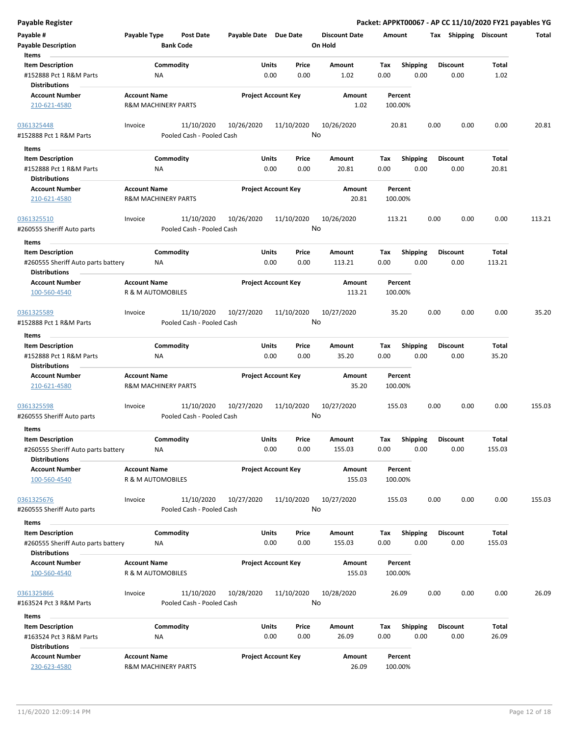| Payable #<br><b>Payable Description</b><br>Items | Payable Type                   | Post Date<br><b>Bank Code</b>           | Payable Date Due Date |                            | <b>Discount Date</b><br>On Hold | Amount  |                 |      | Tax Shipping Discount |        | Total  |
|--------------------------------------------------|--------------------------------|-----------------------------------------|-----------------------|----------------------------|---------------------------------|---------|-----------------|------|-----------------------|--------|--------|
| <b>Item Description</b>                          |                                | Commodity                               | Units                 | Price                      | Amount                          | Tax     | <b>Shipping</b> |      | <b>Discount</b>       | Total  |        |
| #152888 Pct 1 R&M Parts                          | NA                             |                                         |                       | 0.00<br>0.00               | 1.02                            | 0.00    | 0.00            |      | 0.00                  | 1.02   |        |
| <b>Distributions</b>                             |                                |                                         |                       |                            |                                 |         |                 |      |                       |        |        |
| <b>Account Number</b>                            | <b>Account Name</b>            |                                         |                       | <b>Project Account Key</b> | Amount                          | Percent |                 |      |                       |        |        |
| 210-621-4580                                     | <b>R&amp;M MACHINERY PARTS</b> |                                         |                       |                            | 1.02                            | 100.00% |                 |      |                       |        |        |
| 0361325448                                       | Invoice                        | 11/10/2020                              | 10/26/2020            | 11/10/2020                 | 10/26/2020                      | 20.81   |                 | 0.00 | 0.00                  | 0.00   | 20.81  |
| #152888 Pct 1 R&M Parts                          |                                | Pooled Cash - Pooled Cash               |                       |                            | No                              |         |                 |      |                       |        |        |
| Items                                            |                                |                                         |                       |                            |                                 |         |                 |      |                       |        |        |
| <b>Item Description</b>                          |                                | Commodity                               | Units                 | Price                      | Amount                          | Тах     | <b>Shipping</b> |      | <b>Discount</b>       | Total  |        |
| #152888 Pct 1 R&M Parts                          | ΝA                             |                                         |                       | 0.00<br>0.00               | 20.81                           | 0.00    | 0.00            |      | 0.00                  | 20.81  |        |
| <b>Distributions</b>                             |                                |                                         |                       |                            |                                 |         |                 |      |                       |        |        |
| <b>Account Number</b>                            | <b>Account Name</b>            |                                         |                       | <b>Project Account Key</b> | Amount                          | Percent |                 |      |                       |        |        |
| 210-621-4580                                     | <b>R&amp;M MACHINERY PARTS</b> |                                         |                       |                            | 20.81                           | 100.00% |                 |      |                       |        |        |
| 0361325510                                       | Invoice                        | 11/10/2020                              | 10/26/2020            | 11/10/2020                 | 10/26/2020                      | 113.21  |                 | 0.00 | 0.00                  | 0.00   | 113.21 |
| #260555 Sheriff Auto parts                       |                                | Pooled Cash - Pooled Cash               |                       |                            | No                              |         |                 |      |                       |        |        |
|                                                  |                                |                                         |                       |                            |                                 |         |                 |      |                       |        |        |
| Items                                            |                                |                                         |                       |                            |                                 |         |                 |      |                       |        |        |
| <b>Item Description</b>                          |                                | Commodity                               | Units                 | Price                      | Amount                          | Tax     | <b>Shipping</b> |      | <b>Discount</b>       | Total  |        |
| #260555 Sheriff Auto parts battery               | ΝA                             |                                         |                       | 0.00<br>0.00               | 113.21                          | 0.00    | 0.00            |      | 0.00                  | 113.21 |        |
| <b>Distributions</b>                             |                                |                                         |                       |                            |                                 |         |                 |      |                       |        |        |
| <b>Account Number</b>                            | <b>Account Name</b>            |                                         |                       | <b>Project Account Key</b> | Amount                          | Percent |                 |      |                       |        |        |
| 100-560-4540                                     | R & M AUTOMOBILES              |                                         |                       |                            | 113.21                          | 100.00% |                 |      |                       |        |        |
| 0361325589                                       | Invoice                        | 11/10/2020                              | 10/27/2020            | 11/10/2020                 | 10/27/2020                      | 35.20   |                 | 0.00 | 0.00                  | 0.00   | 35.20  |
| #152888 Pct 1 R&M Parts                          |                                | Pooled Cash - Pooled Cash               |                       |                            | No                              |         |                 |      |                       |        |        |
| Items                                            |                                |                                         |                       |                            |                                 |         |                 |      |                       |        |        |
| <b>Item Description</b>                          |                                | Commodity                               | Units                 | Price                      | Amount                          | Tax     | <b>Shipping</b> |      | <b>Discount</b>       | Total  |        |
| #152888 Pct 1 R&M Parts                          | ΝA                             |                                         |                       | 0.00<br>0.00               | 35.20                           | 0.00    | 0.00            |      | 0.00                  | 35.20  |        |
| <b>Distributions</b>                             |                                |                                         |                       |                            |                                 |         |                 |      |                       |        |        |
| <b>Account Number</b>                            | <b>Account Name</b>            |                                         |                       | <b>Project Account Key</b> | Amount                          | Percent |                 |      |                       |        |        |
| 210-621-4580                                     | <b>R&amp;M MACHINERY PARTS</b> |                                         |                       |                            | 35.20                           | 100.00% |                 |      |                       |        |        |
| 0361325598<br>#260555 Sheriff Auto parts         | Invoice                        | 11/10/2020<br>Pooled Cash - Pooled Cash | 10/27/2020            | 11/10/2020                 | 10/27/2020<br>No                | 155.03  |                 | 0.00 | 0.00                  | 0.00   | 155.03 |
| Items                                            |                                |                                         |                       |                            |                                 |         |                 |      |                       |        |        |
| <b>Item Description</b>                          |                                | Commodity                               | Units                 | Price                      | Amount                          | Tax     | <b>Shipping</b> |      | <b>Discount</b>       | Total  |        |
| #260555 Sheriff Auto parts battery               | <b>NA</b>                      |                                         |                       | 0.00<br>0.00               | 155.03                          | 0.00    | 0.00            |      | 0.00                  | 155.03 |        |
| <b>Distributions</b>                             |                                |                                         |                       |                            |                                 |         |                 |      |                       |        |        |
| <b>Account Number</b>                            | <b>Account Name</b>            |                                         |                       | <b>Project Account Key</b> | Amount                          | Percent |                 |      |                       |        |        |
| 100-560-4540                                     | R & M AUTOMOBILES              |                                         |                       |                            | 155.03                          | 100.00% |                 |      |                       |        |        |
| 0361325676                                       | Invoice                        | 11/10/2020                              | 10/27/2020            | 11/10/2020                 | 10/27/2020                      | 155.03  |                 | 0.00 | 0.00                  | 0.00   | 155.03 |
| #260555 Sheriff Auto parts                       |                                | Pooled Cash - Pooled Cash               |                       |                            | No                              |         |                 |      |                       |        |        |
| Items                                            |                                |                                         |                       |                            |                                 |         |                 |      |                       |        |        |
| <b>Item Description</b>                          |                                | Commodity                               | Units                 | Price                      | Amount                          | Тах     | <b>Shipping</b> |      | <b>Discount</b>       | Total  |        |
| #260555 Sheriff Auto parts battery               | ΝA                             |                                         |                       | 0.00<br>0.00               | 155.03                          | 0.00    | 0.00            |      | 0.00                  | 155.03 |        |
| <b>Distributions</b>                             |                                |                                         |                       |                            |                                 |         |                 |      |                       |        |        |
| <b>Account Number</b>                            | <b>Account Name</b>            |                                         |                       | <b>Project Account Key</b> | Amount                          | Percent |                 |      |                       |        |        |
| 100-560-4540                                     | R & M AUTOMOBILES              |                                         |                       |                            | 155.03                          | 100.00% |                 |      |                       |        |        |
|                                                  |                                |                                         |                       |                            |                                 |         |                 |      |                       |        |        |
| 0361325866                                       | Invoice                        | 11/10/2020                              | 10/28/2020            | 11/10/2020                 | 10/28/2020                      | 26.09   |                 | 0.00 | 0.00                  | 0.00   | 26.09  |
| #163524 Pct 3 R&M Parts                          |                                | Pooled Cash - Pooled Cash               |                       |                            | No                              |         |                 |      |                       |        |        |
| Items                                            |                                |                                         |                       |                            |                                 |         |                 |      |                       |        |        |
| <b>Item Description</b>                          |                                | Commodity                               | <b>Units</b>          | Price                      | Amount                          | Tax     | <b>Shipping</b> |      | Discount              | Total  |        |
| #163524 Pct 3 R&M Parts                          | ΝA                             |                                         |                       | 0.00<br>0.00               | 26.09                           | 0.00    | 0.00            |      | 0.00                  | 26.09  |        |
| <b>Distributions</b>                             |                                |                                         |                       |                            |                                 |         |                 |      |                       |        |        |
| <b>Account Number</b>                            | <b>Account Name</b>            |                                         |                       | <b>Project Account Key</b> | Amount                          | Percent |                 |      |                       |        |        |
| 230-623-4580                                     | <b>R&amp;M MACHINERY PARTS</b> |                                         |                       |                            | 26.09                           | 100.00% |                 |      |                       |        |        |

**Payable Register Packet: APPKT00067 - AP CC 11/10/2020 FY21 payables YG**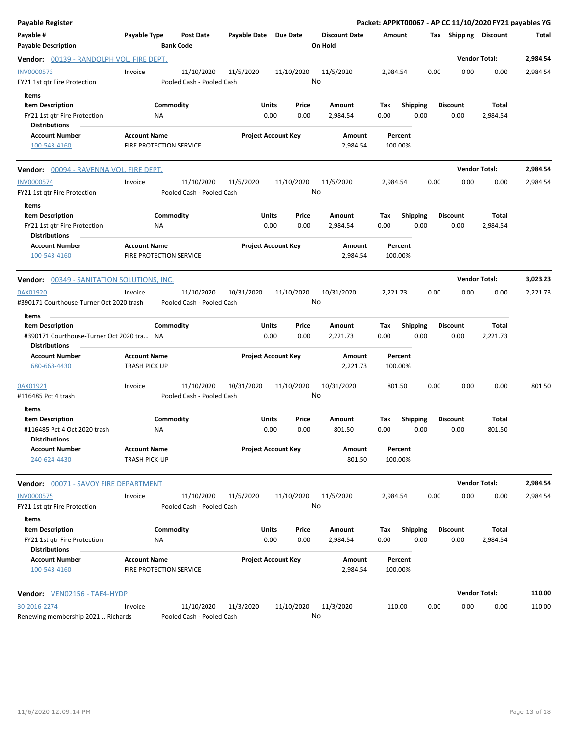| Payable Register                                                                             |                                                |                                         |                       |                            |                                 |                    |                         |                         | Packet: APPKT00067 - AP CC 11/10/2020 FY21 payables YG |          |
|----------------------------------------------------------------------------------------------|------------------------------------------------|-----------------------------------------|-----------------------|----------------------------|---------------------------------|--------------------|-------------------------|-------------------------|--------------------------------------------------------|----------|
| Payable #<br><b>Payable Description</b>                                                      | Payable Type                                   | <b>Post Date</b><br><b>Bank Code</b>    | Payable Date Due Date |                            | <b>Discount Date</b><br>On Hold | Amount             |                         | Tax Shipping Discount   |                                                        | Total    |
| Vendor: 00139 - RANDOLPH VOL. FIRE DEPT.                                                     |                                                |                                         |                       |                            |                                 |                    |                         |                         | <b>Vendor Total:</b>                                   | 2,984.54 |
| INV0000573<br>FY21 1st qtr Fire Protection                                                   | Invoice                                        | 11/10/2020<br>Pooled Cash - Pooled Cash | 11/5/2020             | 11/10/2020                 | 11/5/2020<br>No                 | 2,984.54           | 0.00                    | 0.00                    | 0.00                                                   | 2,984.54 |
| Items<br><b>Item Description</b><br>FY21 1st qtr Fire Protection<br><b>Distributions</b>     | NA                                             | Commodity                               | Units                 | Price<br>0.00<br>0.00      | Amount<br>2,984.54              | Tax<br>0.00        | Shipping<br>0.00        | <b>Discount</b><br>0.00 | Total<br>2,984.54                                      |          |
| <b>Account Number</b><br>100-543-4160                                                        | <b>Account Name</b><br>FIRE PROTECTION SERVICE |                                         |                       | <b>Project Account Key</b> | Amount<br>2,984.54              | Percent<br>100.00% |                         |                         |                                                        |          |
| Vendor: 00094 - RAVENNA VOL. FIRE DEPT.                                                      |                                                |                                         |                       |                            |                                 |                    |                         |                         | <b>Vendor Total:</b>                                   | 2,984.54 |
| <b>INV0000574</b><br>FY21 1st qtr Fire Protection                                            | Invoice                                        | 11/10/2020<br>Pooled Cash - Pooled Cash | 11/5/2020             | 11/10/2020                 | 11/5/2020<br>No                 | 2,984.54           | 0.00                    | 0.00                    | 0.00                                                   | 2,984.54 |
| Items<br><b>Item Description</b><br>FY21 1st qtr Fire Protection<br><b>Distributions</b>     | ΝA                                             | Commodity                               | Units                 | Price<br>0.00<br>0.00      | Amount<br>2,984.54              | Tax<br>0.00        | <b>Shipping</b><br>0.00 | <b>Discount</b><br>0.00 | Total<br>2,984.54                                      |          |
| <b>Account Number</b><br>100-543-4160                                                        | <b>Account Name</b><br>FIRE PROTECTION SERVICE |                                         |                       | <b>Project Account Key</b> | <b>Amount</b><br>2,984.54       | Percent<br>100.00% |                         |                         |                                                        |          |
| <b>Vendor:</b> 00349 - SANITATION SOLUTIONS, INC.                                            |                                                |                                         |                       |                            |                                 |                    |                         |                         | <b>Vendor Total:</b>                                   | 3,023.23 |
| 0AX01920<br>#390171 Courthouse-Turner Oct 2020 trash<br>Items                                | Invoice                                        | 11/10/2020<br>Pooled Cash - Pooled Cash | 10/31/2020            | 11/10/2020                 | 10/31/2020<br>No                | 2,221.73           | 0.00                    | 0.00                    | 0.00                                                   | 2,221.73 |
| <b>Item Description</b><br>#390171 Courthouse-Turner Oct 2020 tra NA<br><b>Distributions</b> |                                                | Commodity                               | Units                 | Price<br>0.00<br>0.00      | Amount<br>2,221.73              | Tax<br>0.00        | <b>Shipping</b><br>0.00 | <b>Discount</b><br>0.00 | Total<br>2,221.73                                      |          |
| <b>Account Number</b><br>680-668-4430                                                        | <b>Account Name</b><br>TRASH PICK UP           |                                         |                       | <b>Project Account Key</b> | Amount<br>2,221.73              | Percent<br>100.00% |                         |                         |                                                        |          |
| 0AX01921<br>#116485 Pct 4 trash                                                              | Invoice                                        | 11/10/2020<br>Pooled Cash - Pooled Cash | 10/31/2020            | 11/10/2020                 | 10/31/2020<br>No                | 801.50             | 0.00                    | 0.00                    | 0.00                                                   | 801.50   |
| Items<br><b>Item Description</b>                                                             |                                                | Commodity                               | Units                 | Price                      | Amount                          | Tax                | <b>Shipping</b>         | <b>Discount</b>         | Total                                                  |          |
| #116485 Pct 4 Oct 2020 trash<br><b>Distributions</b>                                         | ΝA                                             |                                         |                       | 0.00<br>0.00               | 801.50                          | 0.00               | 0.00                    | 0.00                    | 801.50                                                 |          |
| <b>Account Number</b><br>240-624-4430                                                        | <b>Account Name</b><br><b>TRASH PICK-UP</b>    |                                         |                       | <b>Project Account Key</b> | Amount<br>801.50                | Percent<br>100.00% |                         |                         |                                                        |          |
| <b>Vendor:</b> 00071 - SAVOY FIRE DEPARTMENT                                                 |                                                |                                         |                       |                            |                                 |                    |                         |                         | <b>Vendor Total:</b>                                   | 2,984.54 |
| INV0000575<br>FY21 1st qtr Fire Protection                                                   | Invoice                                        | 11/10/2020<br>Pooled Cash - Pooled Cash | 11/5/2020             | 11/10/2020                 | 11/5/2020<br>No                 | 2,984.54           | 0.00                    | 0.00                    | 0.00                                                   | 2,984.54 |
| Items<br><b>Item Description</b><br>FY21 1st qtr Fire Protection<br><b>Distributions</b>     | NA                                             | Commodity                               | Units                 | Price<br>0.00<br>0.00      | Amount<br>2,984.54              | Tax<br>0.00        | <b>Shipping</b><br>0.00 | <b>Discount</b><br>0.00 | Total<br>2,984.54                                      |          |
| <b>Account Number</b><br>100-543-4160                                                        | <b>Account Name</b><br>FIRE PROTECTION SERVICE |                                         |                       | <b>Project Account Key</b> | Amount<br>2,984.54              | Percent<br>100.00% |                         |                         |                                                        |          |
| Vendor: VEN02156 - TAE4-HYDP                                                                 |                                                |                                         |                       |                            |                                 |                    |                         |                         | <b>Vendor Total:</b>                                   | 110.00   |
| 30-2016-2274<br>Renewing membership 2021 J. Richards                                         | Invoice                                        | 11/10/2020<br>Pooled Cash - Pooled Cash | 11/3/2020             | 11/10/2020                 | 11/3/2020<br>No                 | 110.00             | 0.00                    | 0.00                    | 0.00                                                   | 110.00   |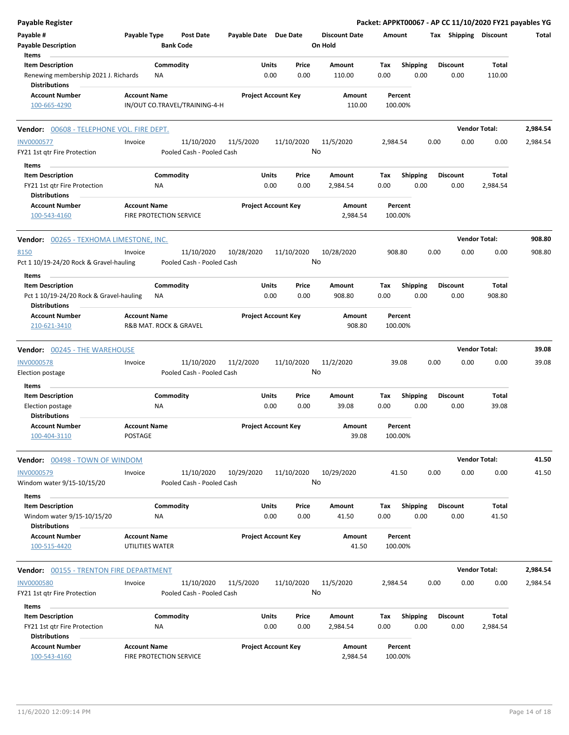| <b>Payable Register</b>                                                                 |                                                |                                         |                       |                            |                                 |             |                         |      |                         | Packet: APPKT00067 - AP CC 11/10/2020 FY21 payables YG |          |
|-----------------------------------------------------------------------------------------|------------------------------------------------|-----------------------------------------|-----------------------|----------------------------|---------------------------------|-------------|-------------------------|------|-------------------------|--------------------------------------------------------|----------|
| Payable #<br><b>Payable Description</b>                                                 | Payable Type                                   | <b>Post Date</b><br><b>Bank Code</b>    | Payable Date Due Date |                            | <b>Discount Date</b><br>On Hold | Amount      |                         |      |                         | Tax Shipping Discount                                  | Total    |
| Items                                                                                   |                                                |                                         |                       |                            |                                 |             |                         |      |                         |                                                        |          |
| <b>Item Description</b><br>Renewing membership 2021 J. Richards<br><b>Distributions</b> | NA                                             | Commodity                               | Units                 | Price<br>0.00<br>0.00      | Amount<br>110.00                | Tax<br>0.00 | <b>Shipping</b><br>0.00 |      | <b>Discount</b><br>0.00 | Total<br>110.00                                        |          |
| <b>Account Number</b>                                                                   | <b>Account Name</b>                            |                                         |                       | <b>Project Account Key</b> | Amount                          |             | Percent                 |      |                         |                                                        |          |
| 100-665-4290                                                                            |                                                | IN/OUT CO.TRAVEL/TRAINING-4-H           |                       |                            | 110.00                          | 100.00%     |                         |      |                         |                                                        |          |
| Vendor: 00608 - TELEPHONE VOL. FIRE DEPT.                                               |                                                |                                         |                       |                            |                                 |             |                         |      |                         | <b>Vendor Total:</b>                                   | 2,984.54 |
| <b>INV0000577</b><br>FY21 1st qtr Fire Protection                                       | Invoice                                        | 11/10/2020<br>Pooled Cash - Pooled Cash | 11/5/2020             | 11/10/2020                 | 11/5/2020<br>No                 | 2,984.54    |                         | 0.00 | 0.00                    | 0.00                                                   | 2,984.54 |
| Items                                                                                   |                                                |                                         |                       |                            |                                 |             |                         |      |                         |                                                        |          |
| <b>Item Description</b>                                                                 |                                                | Commodity                               | Units                 | Price                      | Amount                          | Тах         | <b>Shipping</b>         |      | <b>Discount</b>         | Total                                                  |          |
| FY21 1st qtr Fire Protection<br><b>Distributions</b>                                    | ΝA                                             |                                         |                       | 0.00<br>0.00               | 2,984.54                        | 0.00        | 0.00                    |      | 0.00                    | 2,984.54                                               |          |
| <b>Account Number</b><br>100-543-4160                                                   | <b>Account Name</b><br>FIRE PROTECTION SERVICE |                                         |                       | <b>Project Account Key</b> | Amount<br>2,984.54              | 100.00%     | Percent                 |      |                         |                                                        |          |
| <b>Vendor: 00265 - TEXHOMA LIMESTONE, INC.</b>                                          |                                                |                                         |                       |                            |                                 |             |                         |      |                         | <b>Vendor Total:</b>                                   | 908.80   |
| 8150<br>Pct 1 10/19-24/20 Rock & Gravel-hauling                                         | Invoice                                        | 11/10/2020<br>Pooled Cash - Pooled Cash | 10/28/2020            | 11/10/2020                 | 10/28/2020<br>No                | 908.80      |                         | 0.00 | 0.00                    | 0.00                                                   | 908.80   |
| Items                                                                                   |                                                |                                         |                       |                            |                                 |             |                         |      |                         |                                                        |          |
| <b>Item Description</b><br>Pct 1 10/19-24/20 Rock & Gravel-hauling                      | ΝA                                             | Commodity                               | Units                 | Price<br>0.00<br>0.00      | Amount<br>908.80                | Tax<br>0.00 | <b>Shipping</b><br>0.00 |      | <b>Discount</b><br>0.00 | <b>Total</b><br>908.80                                 |          |
| <b>Distributions</b><br><b>Account Number</b><br>210-621-3410                           | <b>Account Name</b><br>R&B MAT. ROCK & GRAVEL  |                                         |                       | <b>Project Account Key</b> | Amount<br>908.80                | 100.00%     | Percent                 |      |                         |                                                        |          |
|                                                                                         |                                                |                                         |                       |                            |                                 |             |                         |      |                         | <b>Vendor Total:</b>                                   | 39.08    |
| <b>Vendor: 00245 - THE WAREHOUSE</b>                                                    |                                                |                                         |                       |                            |                                 |             |                         |      |                         |                                                        |          |
| <b>INV0000578</b><br>Election postage                                                   | Invoice                                        | 11/10/2020<br>Pooled Cash - Pooled Cash | 11/2/2020             | 11/10/2020                 | 11/2/2020<br>No                 |             | 39.08                   | 0.00 | 0.00                    | 0.00                                                   | 39.08    |
| Items                                                                                   |                                                |                                         |                       |                            |                                 |             |                         |      |                         |                                                        |          |
| <b>Item Description</b><br>Election postage                                             | NA                                             | Commodity                               | Units                 | Price<br>0.00<br>0.00      | Amount<br>39.08                 | Тах<br>0.00 | <b>Shipping</b><br>0.00 |      | <b>Discount</b><br>0.00 | Total<br>39.08                                         |          |
| <b>Distributions</b><br><b>Account Number</b><br>100-404-3110                           | <b>Account Name</b><br>POSTAGE                 |                                         |                       | <b>Project Account Key</b> | Amount<br>39.08                 | 100.00%     | Percent                 |      |                         |                                                        |          |
| Vendor: 00498 - TOWN OF WINDOM                                                          |                                                |                                         |                       |                            |                                 |             |                         |      |                         | <b>Vendor Total:</b>                                   | 41.50    |
| INV0000579<br>Windom water 9/15-10/15/20                                                | Invoice                                        | 11/10/2020<br>Pooled Cash - Pooled Cash | 10/29/2020            | 11/10/2020                 | 10/29/2020<br>No                |             | 41.50                   | 0.00 | 0.00                    | 0.00                                                   | 41.50    |
| Items<br><b>Item Description</b><br>Windom water 9/15-10/15/20                          | NA                                             | Commodity                               | Units                 | Price<br>0.00<br>0.00      | Amount<br>41.50                 | Tax<br>0.00 | <b>Shipping</b><br>0.00 |      | <b>Discount</b><br>0.00 | Total<br>41.50                                         |          |
| <b>Distributions</b><br><b>Account Number</b><br>100-515-4420                           | <b>Account Name</b><br>UTILITIES WATER         |                                         |                       | <b>Project Account Key</b> | Amount<br>41.50                 | 100.00%     | Percent                 |      |                         |                                                        |          |
| <b>Vendor: 00155 - TRENTON FIRE DEPARTMENT</b>                                          |                                                |                                         |                       |                            |                                 |             |                         |      |                         | <b>Vendor Total:</b>                                   | 2,984.54 |
| <b>INV0000580</b><br>FY21 1st qtr Fire Protection                                       | Invoice                                        | 11/10/2020<br>Pooled Cash - Pooled Cash | 11/5/2020             | 11/10/2020                 | 11/5/2020<br>No                 | 2,984.54    |                         | 0.00 | 0.00                    | 0.00                                                   | 2,984.54 |
| Items                                                                                   |                                                |                                         |                       |                            |                                 |             |                         |      |                         |                                                        |          |
| <b>Item Description</b>                                                                 |                                                | Commodity                               | Units                 | Price                      | Amount                          | Tax         | <b>Shipping</b>         |      | <b>Discount</b>         | Total                                                  |          |
| FY21 1st qtr Fire Protection<br><b>Distributions</b>                                    | NA                                             |                                         |                       | 0.00<br>0.00               | 2,984.54                        | 0.00        | 0.00                    |      | 0.00                    | 2,984.54                                               |          |
| <b>Account Number</b><br>100-543-4160                                                   | <b>Account Name</b><br>FIRE PROTECTION SERVICE |                                         |                       | <b>Project Account Key</b> | Amount<br>2,984.54              | 100.00%     | Percent                 |      |                         |                                                        |          |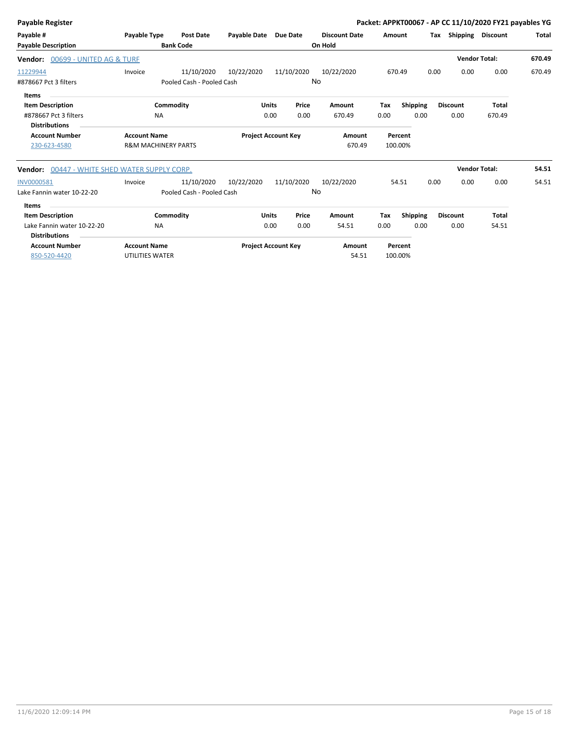| Total<br>670.49 |
|-----------------|
|                 |
|                 |
|                 |
| 670.49          |
|                 |
|                 |
|                 |
|                 |
|                 |
|                 |
|                 |
| 54.51           |
| 54.51           |
|                 |
|                 |
|                 |
|                 |
|                 |
|                 |
|                 |
|                 |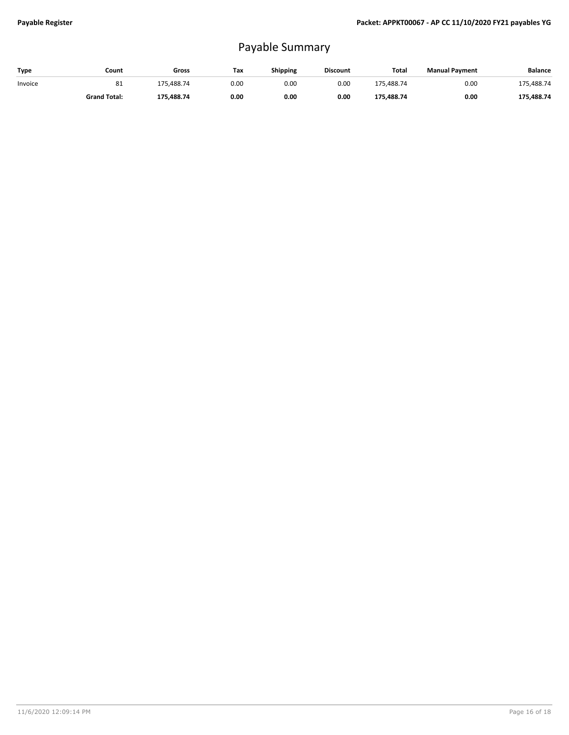## Payable Summary

| Type    | Count               | Gross      | Тах  | <b>Shipping</b> | <b>Discount</b> | Total      | <b>Manual Payment</b> | <b>Balance</b> |
|---------|---------------------|------------|------|-----------------|-----------------|------------|-----------------------|----------------|
| Invoice | 81                  | 175.488.74 | 0.00 | 0.00            | 0.00            | 175.488.74 | 0.00                  | 175,488.74     |
|         | <b>Grand Total:</b> | 175.488.74 | 0.00 | 0.00            | 0.00            | 175,488.74 | 0.00                  | 175,488.74     |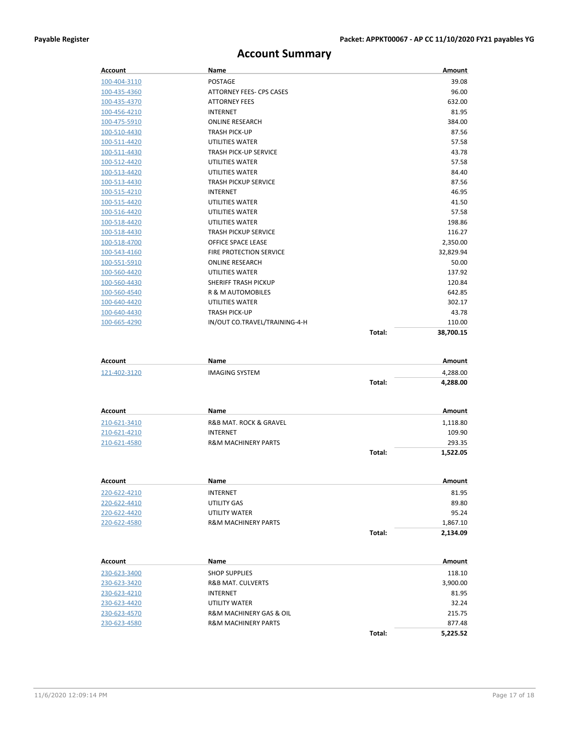## **Account Summary**

| Account      | <b>Name</b>                    |        | Amount    |
|--------------|--------------------------------|--------|-----------|
| 100-404-3110 | <b>POSTAGE</b>                 |        | 39.08     |
| 100-435-4360 | ATTORNEY FEES- CPS CASES       |        | 96.00     |
| 100-435-4370 | <b>ATTORNEY FEES</b>           |        | 632.00    |
| 100-456-4210 | <b>INTERNET</b>                |        | 81.95     |
| 100-475-5910 | <b>ONLINE RESEARCH</b>         |        | 384.00    |
| 100-510-4430 | <b>TRASH PICK-UP</b>           |        | 87.56     |
| 100-511-4420 | <b>UTILITIES WATER</b>         |        | 57.58     |
| 100-511-4430 | <b>TRASH PICK-UP SERVICE</b>   |        | 43.78     |
| 100-512-4420 | <b>UTILITIES WATER</b>         |        | 57.58     |
| 100-513-4420 | <b>UTILITIES WATER</b>         |        | 84.40     |
| 100-513-4430 | <b>TRASH PICKUP SERVICE</b>    |        | 87.56     |
| 100-515-4210 | <b>INTERNET</b>                |        | 46.95     |
| 100-515-4420 | <b>UTILITIES WATER</b>         |        | 41.50     |
| 100-516-4420 | UTILITIES WATER                |        | 57.58     |
| 100-518-4420 | <b>UTILITIES WATER</b>         |        | 198.86    |
| 100-518-4430 | <b>TRASH PICKUP SERVICE</b>    |        | 116.27    |
| 100-518-4700 | OFFICE SPACE LEASE             |        | 2,350.00  |
| 100-543-4160 | <b>FIRE PROTECTION SERVICE</b> |        | 32,829.94 |
| 100-551-5910 | <b>ONLINE RESEARCH</b>         |        | 50.00     |
| 100-560-4420 | <b>UTILITIES WATER</b>         |        | 137.92    |
| 100-560-4430 | <b>SHERIFF TRASH PICKUP</b>    |        | 120.84    |
| 100-560-4540 | <b>R &amp; M AUTOMOBILES</b>   |        | 642.85    |
| 100-640-4420 | <b>UTILITIES WATER</b>         |        | 302.17    |
| 100-640-4430 | <b>TRASH PICK-UP</b>           |        | 43.78     |
| 100-665-4290 | IN/OUT CO.TRAVEL/TRAINING-4-H  |        | 110.00    |
|              |                                | Total: | 38.700.15 |

| Account      | Name                  |        | Amount   |
|--------------|-----------------------|--------|----------|
| 121-402-3120 | <b>IMAGING SYSTEM</b> |        | 4,288.00 |
|              |                       | Total: | 4,288.00 |

| Account      | Name                                  |        | Amount   |
|--------------|---------------------------------------|--------|----------|
| 210-621-3410 | <b>R&amp;B MAT. ROCK &amp; GRAVEL</b> |        | 1,118.80 |
| 210-621-4210 | <b>INTERNET</b>                       |        | 109.90   |
| 210-621-4580 | <b>R&amp;M MACHINERY PARTS</b>        |        | 293.35   |
|              |                                       | Total: | 1,522.05 |

| Account      | Name                           |        | Amount   |
|--------------|--------------------------------|--------|----------|
| 220-622-4210 | <b>INTERNET</b>                |        | 81.95    |
| 220-622-4410 | UTILITY GAS                    |        | 89.80    |
| 220-622-4420 | UTILITY WATER                  |        | 95.24    |
| 220-622-4580 | <b>R&amp;M MACHINERY PARTS</b> |        | 1,867.10 |
|              |                                | Total: | 2,134.09 |

| Account      | Name                                   |        | Amount   |
|--------------|----------------------------------------|--------|----------|
| 230-623-3400 | <b>SHOP SUPPLIES</b>                   |        | 118.10   |
| 230-623-3420 | <b>R&amp;B MAT. CULVERTS</b>           |        | 3,900.00 |
| 230-623-4210 | <b>INTERNET</b>                        |        | 81.95    |
| 230-623-4420 | UTILITY WATER                          |        | 32.24    |
| 230-623-4570 | <b>R&amp;M MACHINERY GAS &amp; OIL</b> |        | 215.75   |
| 230-623-4580 | <b>R&amp;M MACHINERY PARTS</b>         |        | 877.48   |
|              |                                        | Total: | 5.225.52 |